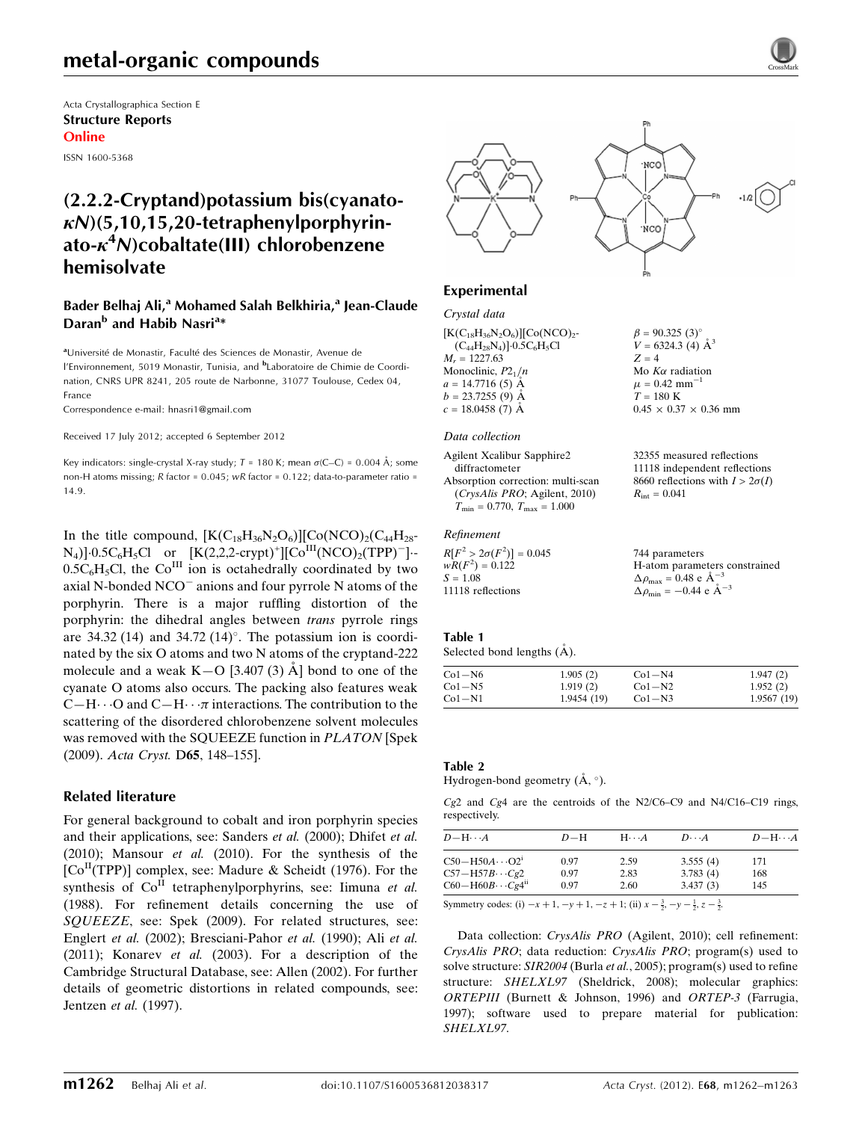# metal-organic compounds

Acta Crystallographica Section E Structure Reports Online

ISSN 1600-5368

## (2.2.2-Cryptand)potassium bis(cyanato $k(N)(5.10.15.20-tetrahenvloorphvrin$ ato- $\kappa^4$ N)cobaltate(III) chlorobenzene hemisolvate

### Bader Belhaj Ali,<sup>a</sup> Mohamed Salah Belkhiria,<sup>a</sup> Jean-Claude Daran<sup>b</sup> and Habib Nasri<sup>a\*</sup>

aUniversité de Monastir, Faculté des Sciences de Monastir, Avenue de l'Environnement, 5019 Monastir, Tunisia, and <sup>b</sup>Laboratoire de Chimie de Coordination, CNRS UPR 8241, 205 route de Narbonne, 31077 Toulouse, Cedex 04, France

Correspondence e-mail: [hnasri1@gmail.com](https://scripts.iucr.org/cgi-bin/cr.cgi?rm=pdfbb&cnor=hb6905&bbid=BB17)

Received 17 July 2012; accepted 6 September 2012

Key indicators: single-crystal X-ray study;  $T = 180$  K; mean  $\sigma$ (C–C) = 0.004 Å; some non-H atoms missing; R factor = 0.045; wR factor = 0.122; data-to-parameter ratio = 14.9.

In the title compound,  $[K(C_{18}H_{36}N_2O_6)][Co(NCO)_2(C_{44}H_{28}^{-})]$  $N_4$ ]  $0.5C_6H_5Cl$  or  $[K(2,2,2\text{-crypt})^+][CO^{III}(NCO)_2(TPP)^-]\cdots$  $0.5C_6H_5Cl$ , the Co<sup>III</sup> ion is octahedrally coordinated by two axial N-bonded  $NCO<sup>-</sup>$  anions and four pyrrole N atoms of the porphyrin. There is a major ruffling distortion of the porphyrin: the dihedral angles between trans pyrrole rings are 34.32 (14) and 34.72 (14) $^{\circ}$ . The potassium ion is coordinated by the six O atoms and two N atoms of the cryptand-222 molecule and a weak  $K-O$  [3.407 (3)  $\AA$ ] bond to one of the cyanate O atoms also occurs. The packing also features weak C-H $\cdots$ O and C-H $\cdots$  interactions. The contribution to the scattering of the disordered chlorobenzene solvent molecules was removed with the SQUEEZE function in PLATON [Spek (2009). Acta Cryst. D65, 148–155].

#### Related literature

For general background to cobalt and iron porphyrin species and their applications, see: Sanders et al. (2000); Dhifet et al. (2010); Mansour et al. (2010). For the synthesis of the  $[Co<sup>H</sup>(TPP)]$  complex, see: Madure & Scheidt (1976). For the synthesis of  $Co<sup>H</sup>$  tetraphenylporphyrins, see: Iimuna et al. (1988). For refinement details concerning the use of SQUEEZE, see: Spek (2009). For related structures, see: Englert et al. (2002); Bresciani-Pahor et al. (1990); Ali et al. (2011); Konarev et al. (2003). For a description of the Cambridge Structural Database, see: Allen (2002). For further details of geometric distortions in related compounds, see: Jentzen et al. (1997).



 $\beta = 90.325$  (3)<sup>o</sup>  $V = 6324.3$  (4)  $A^3$ 

Mo  $K\alpha$  radiation  $\mu = 0.42$  mm<sup>-1</sup>  $T = 180$  K

 $R_{\rm int} = 0.041$ 

 $0.45 \times 0.37 \times 0.36$  mm

32355 measured reflections 11118 independent reflections 8660 reflections with  $I > 2\sigma(I)$ 

 $Z = 4$ 

## Experimental

#### Crystal data

 $[K(C_{18}H_{36}N_2O_6)][Co(NCO)<sub>2</sub>$ - $(C_{44}H_{28}N_4)]\cdot 0.5C_6H_5Cl$  $M_r = 1227.63$ Monoclinic,  $P2_1/n$  $a = 14.7716(5)$  Å  $b = 23.7255(9)$  Å  $c = 18.0458(7)$  Å

#### Data collection

Agilent Xcalibur Sapphire2 diffractometer Absorption correction: multi-scan (CrysAlis PRO; Agilent, 2010)  $T_{\text{min}} = 0.770, T_{\text{max}} = 1.000$ 

#### Refinement

| $R[F^2 > 2\sigma(F^2)] = 0.045$ | 744 parameters                                              |
|---------------------------------|-------------------------------------------------------------|
| $wR(F^2) = 0.122$               | H-atom parameters constrained                               |
| $S = 1.08$                      | $\Delta \rho_{\text{max}} = 0.48 \text{ e A}^{-3}$          |
| 11118 reflections               | $\Delta \rho_{\text{min}} = -0.44 \text{ e} \text{ Å}^{-3}$ |

#### Table 1

Selected bond lengths  $(\AA)$ .

| $Co1-N6$ | 1.905(2)    | $Co1-N4$ | 1.947(2)   |
|----------|-------------|----------|------------|
| $Co1-N5$ | 1.919(2)    | $Co1-N2$ | 1.952(2)   |
| $Co1-N1$ | 1.9454 (19) | $Co1-N3$ | 1.9567(19) |

#### Table 2

Hydrogen-bond geometry  $(\mathring{A}, \degree)$ .

Cg2 and Cg4 are the centroids of the N2/C6–C9 and N4/C16–C19 rings, respectively.

| $D - H \cdots A$        | $D-H$ | $H\cdots A$ | $D\cdots A$ | $D - H \cdots A$ |
|-------------------------|-------|-------------|-------------|------------------|
| $C50-H50A\cdots O2i$    | 0.97  | 2.59        | 3.555(4)    | 171              |
| $C57 - H57B \cdots Cg2$ | 0.97  | 2.83        | 3.783(4)    | 168              |
| $C60-H60B\cdots Cg4ii$  | 0.97  | 2.60        | 3.437(3)    | 145              |

Symmetry codes: (i)  $-x + 1$ ,  $-y + 1$ ,  $-z + 1$ ; (ii)  $x - \frac{3}{2}$ ,  $-y - \frac{1}{2}$ ,  $z - \frac{3}{2}$ .

Data collection: CrysAlis PRO (Agilent, 2010); cell refinement: CrysAlis PRO; data reduction: CrysAlis PRO; program(s) used to solve structure: SIR2004 (Burla et al., 2005); program(s) used to refine structure: SHELXL97 (Sheldrick, 2008); molecular graphics: ORTEPIII (Burnett & Johnson, 1996) and ORTEP-3 (Farrugia, 1997); software used to prepare material for publication: SHELXL97.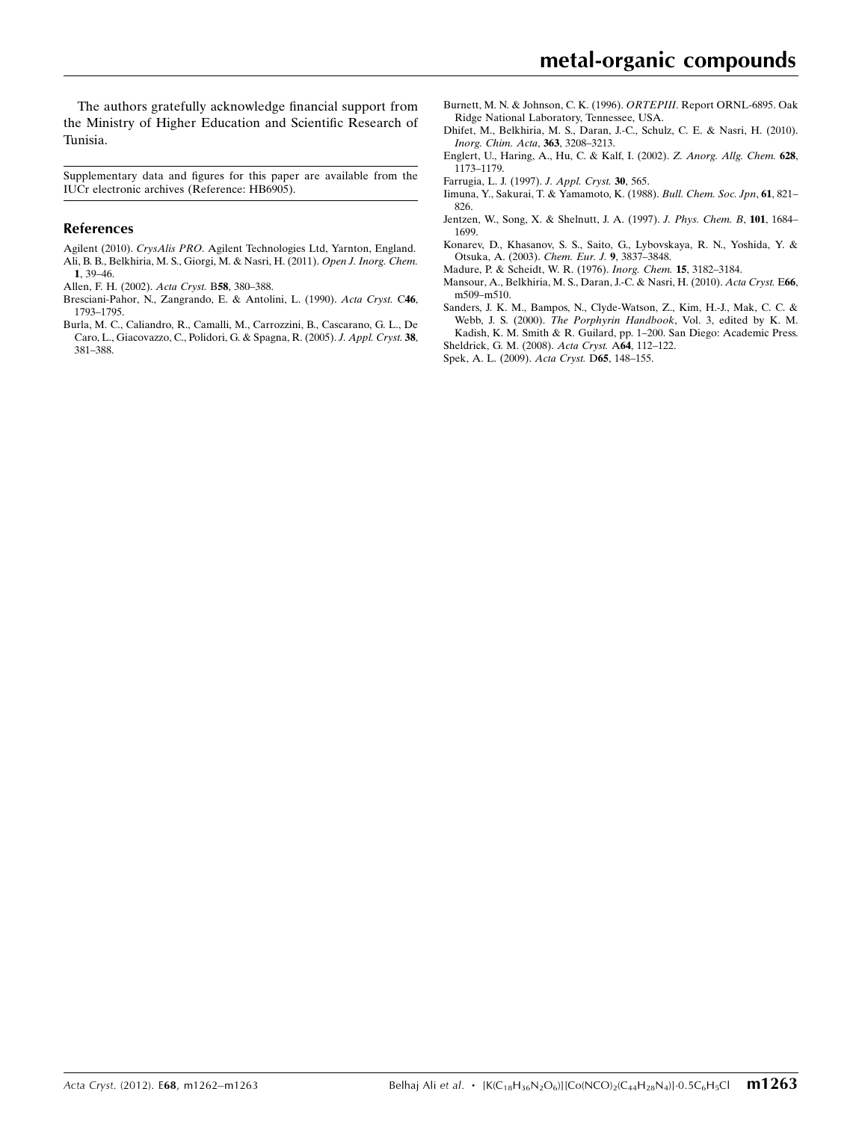Supplementary data and figures for this paper are available from the IUCr electronic archives (Reference: HB6905).

#### References

- Agilent (2010). CrysAlis PRO[. Agilent Technologies Ltd, Yarnton, England.](https://scripts.iucr.org/cgi-bin/cr.cgi?rm=pdfbb&cnor=hb6905&bbid=BB1) [Ali, B. B., Belkhiria, M. S., Giorgi, M. & Nasri, H. \(2011\).](https://scripts.iucr.org/cgi-bin/cr.cgi?rm=pdfbb&cnor=hb6905&bbid=BB2) Open J. Inorg. Chem. 1[, 39–46.](https://scripts.iucr.org/cgi-bin/cr.cgi?rm=pdfbb&cnor=hb6905&bbid=BB2)
- [Allen, F. H. \(2002\).](https://scripts.iucr.org/cgi-bin/cr.cgi?rm=pdfbb&cnor=hb6905&bbid=BB3) Acta Cryst. B58, 380–388.
- [Bresciani-Pahor, N., Zangrando, E. & Antolini, L. \(1990\).](https://scripts.iucr.org/cgi-bin/cr.cgi?rm=pdfbb&cnor=hb6905&bbid=BB4) Acta Cryst. C46, [1793–1795.](https://scripts.iucr.org/cgi-bin/cr.cgi?rm=pdfbb&cnor=hb6905&bbid=BB4)
- [Burla, M. C., Caliandro, R., Camalli, M., Carrozzini, B., Cascarano, G. L., De](https://scripts.iucr.org/cgi-bin/cr.cgi?rm=pdfbb&cnor=hb6905&bbid=BB5) [Caro, L., Giacovazzo, C., Polidori, G. & Spagna, R. \(2005\).](https://scripts.iucr.org/cgi-bin/cr.cgi?rm=pdfbb&cnor=hb6905&bbid=BB5) J. Appl. Cryst. 38, [381–388.](https://scripts.iucr.org/cgi-bin/cr.cgi?rm=pdfbb&cnor=hb6905&bbid=BB5)
- [Burnett, M. N. & Johnson, C. K. \(1996\).](https://scripts.iucr.org/cgi-bin/cr.cgi?rm=pdfbb&cnor=hb6905&bbid=BB6) ORTEPIII. Report ORNL-6895. Oak [Ridge National Laboratory, Tennessee, USA.](https://scripts.iucr.org/cgi-bin/cr.cgi?rm=pdfbb&cnor=hb6905&bbid=BB6)
- [Dhifet, M., Belkhiria, M. S., Daran, J.-C., Schulz, C. E. & Nasri, H. \(2010\).](https://scripts.iucr.org/cgi-bin/cr.cgi?rm=pdfbb&cnor=hb6905&bbid=BB7) [Inorg. Chim. Acta](https://scripts.iucr.org/cgi-bin/cr.cgi?rm=pdfbb&cnor=hb6905&bbid=BB7), 363, 3208–3213.
- [Englert, U., Haring, A., Hu, C. & Kalf, I. \(2002\).](https://scripts.iucr.org/cgi-bin/cr.cgi?rm=pdfbb&cnor=hb6905&bbid=BB8) Z. Anorg. Allg. Chem. 628, [1173–1179.](https://scripts.iucr.org/cgi-bin/cr.cgi?rm=pdfbb&cnor=hb6905&bbid=BB8)
- [Farrugia, L. J. \(1997\).](https://scripts.iucr.org/cgi-bin/cr.cgi?rm=pdfbb&cnor=hb6905&bbid=BB9) J. Appl. Cryst. 30, 565.
- [Iimuna, Y., Sakurai, T. & Yamamoto, K. \(1988\).](https://scripts.iucr.org/cgi-bin/cr.cgi?rm=pdfbb&cnor=hb6905&bbid=BB10) Bull. Chem. Soc. Jpn, 61, 821– [826.](https://scripts.iucr.org/cgi-bin/cr.cgi?rm=pdfbb&cnor=hb6905&bbid=BB10)
- [Jentzen, W., Song, X. & Shelnutt, J. A. \(1997\).](https://scripts.iucr.org/cgi-bin/cr.cgi?rm=pdfbb&cnor=hb6905&bbid=BB11) J. Phys. Chem. B, 101, 1684– [1699.](https://scripts.iucr.org/cgi-bin/cr.cgi?rm=pdfbb&cnor=hb6905&bbid=BB11)
- [Konarev, D., Khasanov, S. S., Saito, G., Lybovskaya, R. N., Yoshida, Y. &](https://scripts.iucr.org/cgi-bin/cr.cgi?rm=pdfbb&cnor=hb6905&bbid=BB12) [Otsuka, A. \(2003\).](https://scripts.iucr.org/cgi-bin/cr.cgi?rm=pdfbb&cnor=hb6905&bbid=BB12) Chem. Eur. J. 9, 3837–3848.
- [Madure, P. & Scheidt, W. R. \(1976\).](https://scripts.iucr.org/cgi-bin/cr.cgi?rm=pdfbb&cnor=hb6905&bbid=BB13) Inorg. Chem. 15, 3182–3184.
- [Mansour, A., Belkhiria, M. S., Daran, J.-C. & Nasri, H. \(2010\).](https://scripts.iucr.org/cgi-bin/cr.cgi?rm=pdfbb&cnor=hb6905&bbid=BB14) Acta Cryst. E66, [m509–m510.](https://scripts.iucr.org/cgi-bin/cr.cgi?rm=pdfbb&cnor=hb6905&bbid=BB14)
- [Sanders, J. K. M., Bampos, N., Clyde-Watson, Z., Kim, H.-J., Mak, C. C. &](https://scripts.iucr.org/cgi-bin/cr.cgi?rm=pdfbb&cnor=hb6905&bbid=BB15) Webb, J. S. (2000). The Porphyrin Handbook[, Vol. 3, edited by K. M.](https://scripts.iucr.org/cgi-bin/cr.cgi?rm=pdfbb&cnor=hb6905&bbid=BB15) [Kadish, K. M. Smith & R. Guilard, pp. 1–200. San Diego: Academic Press.](https://scripts.iucr.org/cgi-bin/cr.cgi?rm=pdfbb&cnor=hb6905&bbid=BB15) [Sheldrick, G. M. \(2008\).](https://scripts.iucr.org/cgi-bin/cr.cgi?rm=pdfbb&cnor=hb6905&bbid=BB16) Acta Cryst. A64, 112–122.
- [Spek, A. L. \(2009\).](https://scripts.iucr.org/cgi-bin/cr.cgi?rm=pdfbb&cnor=hb6905&bbid=BB17) Acta Cryst. D65, 148–155.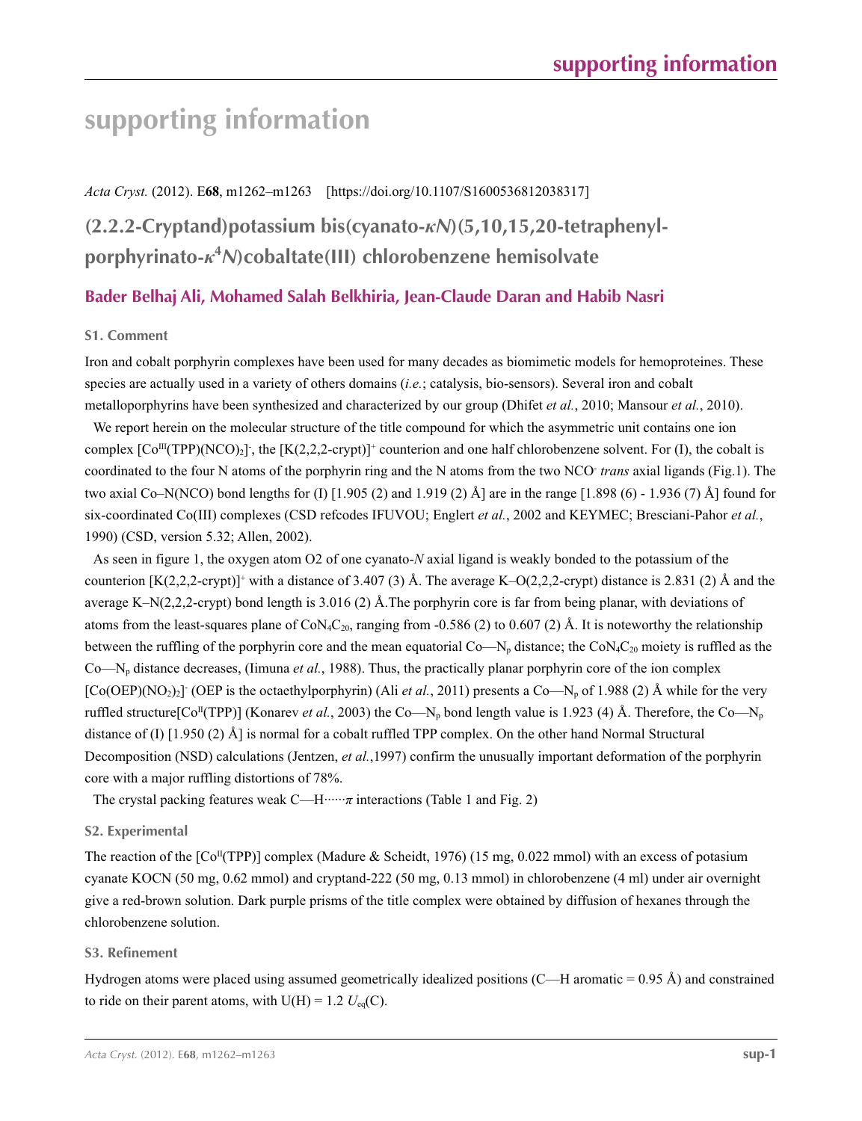#### *Acta Cryst.* (2012). E**68**, m1262–m1263 [https://doi.org/10.1107/S1600536812038317]

# **(2.2.2-Cryptand)potassium bis(cyanato-***κN***)(5,10,15,20-tetraphenylporphyrinato-***κ***<sup>4</sup>** *N***)cobaltate(III) chlorobenzene hemisolvate**

## **Bader Belhaj Ali, Mohamed Salah Belkhiria, Jean-Claude Daran and Habib Nasri**

### **S1. Comment**

Iron and cobalt porphyrin complexes have been used for many decades as biomimetic models for hemoproteines. These species are actually used in a variety of others domains (*i.e.*; catalysis, bio-sensors). Several iron and cobalt metalloporphyrins have been synthesized and characterized by our group (Dhifet *et al.*, 2010; Mansour *et al.*, 2010).

We report herein on the molecular structure of the title compound for which the asymmetric unit contains one ion complex  $[Co^{III}(TP)(NCO)_2]$ , the  $[K(2,2,2-crypt)]$ <sup>+</sup> counterion and one half chlorobenzene solvent. For (I), the cobalt is coordinated to the four N atoms of the porphyrin ring and the N atoms from the two NCO- *trans* axial ligands (Fig.1). The two axial Co–N(NCO) bond lengths for (I) [1.905 (2) and 1.919 (2) Å] are in the range [1.898 (6) - 1.936 (7) Å] found for six-coordinated Co(III) complexes (CSD refcodes IFUVOU; Englert *et al.*, 2002 and KEYMEC; Bresciani-Pahor *et al.*, 1990) (CSD, version 5.32; Allen, 2002).

As seen in figure 1, the oxygen atom O2 of one cyanato-*N* axial ligand is weakly bonded to the potassium of the counterion  $[K(2,2,2-\text{crypt})]$ <sup>+</sup> with a distance of 3.407 (3) Å. The average K–O(2,2,2-crypt) distance is 2.831 (2) Å and the average K–N(2,2,2-crypt) bond length is 3.016 (2) Å.The porphyrin core is far from being planar, with deviations of atoms from the least-squares plane of  $\text{CoN}_4\text{C}_{20}$ , ranging from -0.586 (2) to 0.607 (2) Å. It is noteworthy the relationship between the ruffling of the porphyrin core and the mean equatorial  $Co-N_p$  distance; the  $CoN_4C_{20}$  moiety is ruffled as the Co—Np distance decreases, (Iimuna *et al.*, 1988). Thus, the practically planar porphyrin core of the ion complex  $[Co(OEP)(NO<sub>2</sub>)<sub>2</sub>]$  (OEP is the octaethylporphyrin) (Ali *et al.*, 2011) presents a Co—N<sub>p</sub> of 1.988 (2) Å while for the very ruffled structure[ $Co^{II}(TPP)$ ] (Konarev *et al.*, 2003) the  $Co-N_p$  bond length value is 1.923 (4) Å. Therefore, the  $Co-N_p$ distance of (I) [1.950 (2) Å] is normal for a cobalt ruffled TPP complex. On the other hand Normal Structural Decomposition (NSD) calculations (Jentzen, *et al.*,1997) confirm the unusually important deformation of the porphyrin core with a major ruffling distortions of 78%.

The crystal packing features weak  $C$ —H·····*π* interactions (Table 1 and Fig. 2)

#### **S2. Experimental**

The reaction of the  $[Co<sup>T</sup>(TP)<sup>T</sup>]$  complex (Madure & Scheidt, 1976) (15 mg, 0.022 mmol) with an excess of potasium cyanate KOCN (50 mg, 0.62 mmol) and cryptand-222 (50 mg, 0.13 mmol) in chlorobenzene (4 ml) under air overnight give a red-brown solution. Dark purple prisms of the title complex were obtained by diffusion of hexanes through the chlorobenzene solution.

#### **S3. Refinement**

Hydrogen atoms were placed using assumed geometrically idealized positions  $(C-H$  aromatic = 0.95 Å) and constrained to ride on their parent atoms, with  $U(H) = 1.2$   $U_{eq}(C)$ .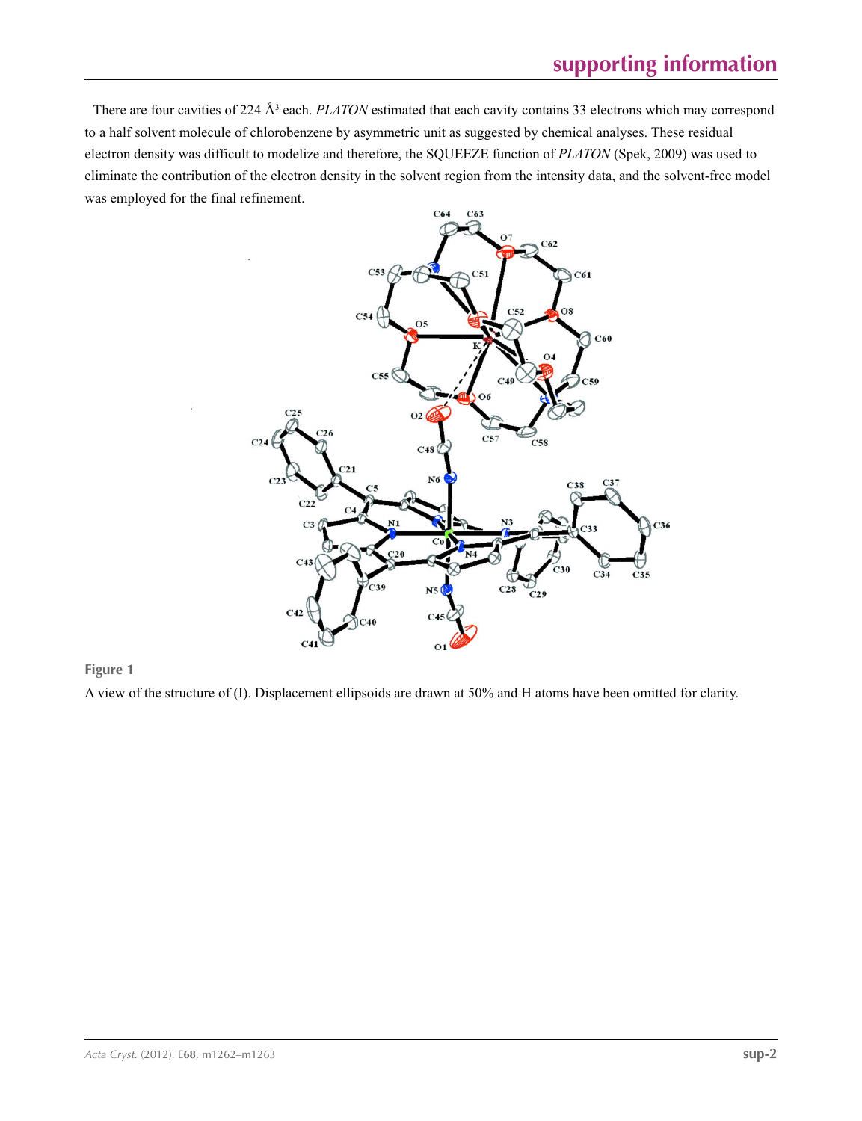There are four cavities of 224 Å<sup>3</sup> each. *PLATON* estimated that each cavity contains 33 electrons which may correspond to a half solvent molecule of chlorobenzene by asymmetric unit as suggested by chemical analyses. These residual electron density was difficult to modelize and therefore, the SQUEEZE function of *PLATON* (Spek, 2009) was used to eliminate the contribution of the electron density in the solvent region from the intensity data, and the solvent-free model was employed for the final refinement.



**Figure 1**

A view of the structure of (I). Displacement ellipsoids are drawn at 50% and H atoms have been omitted for clarity.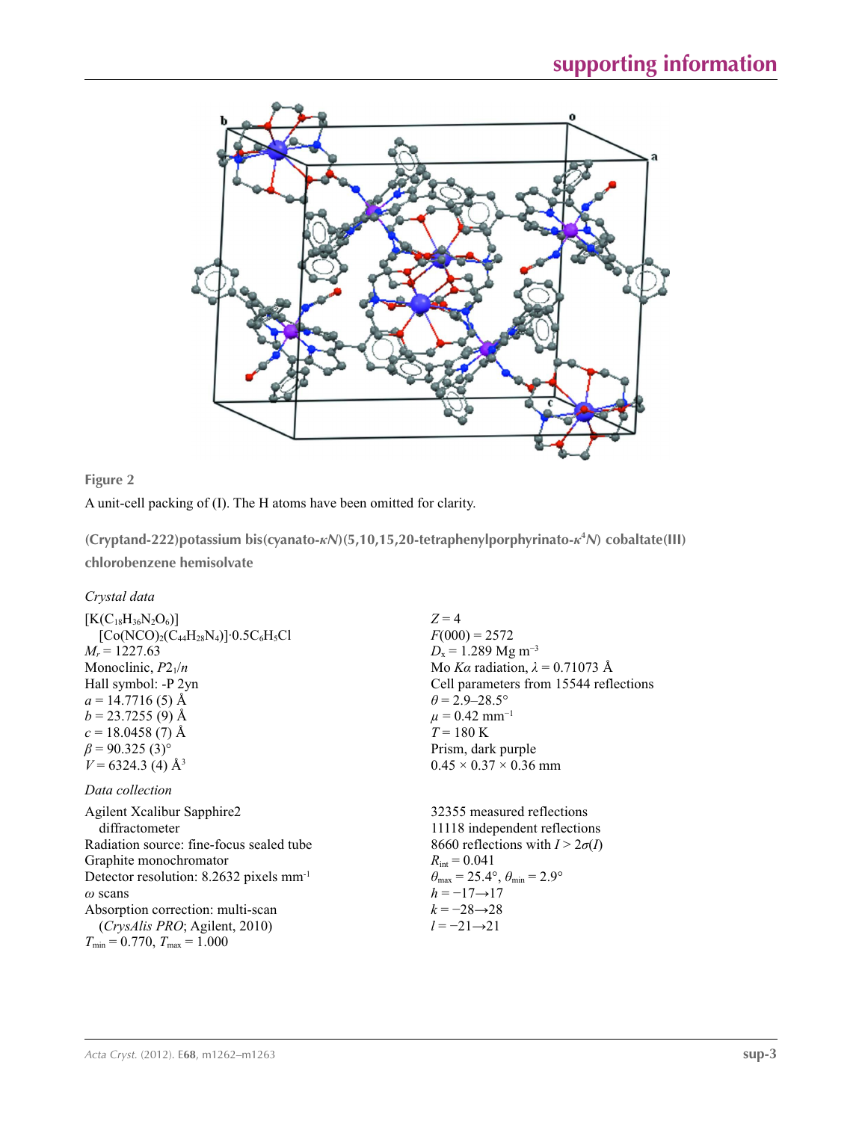



A unit-cell packing of (I). The H atoms have been omitted for clarity.

**(Cryptand-222)potassium bis(cyanato-***κN***)(5,10,15,20-tetraphenylporphyrinato-***κ***<sup>4</sup>** *N***) cobaltate(III) chlorobenzene hemisolvate** 

*Crystal data*

| $[K(C_{18}H_{36}N_2O_6)]$                           | $Z=4$                                                                   |
|-----------------------------------------------------|-------------------------------------------------------------------------|
| $[Co(NCO)2(C44H28N4)]0.5C6H5Cl$                     | $F(000) = 2572$                                                         |
| $M_r = 1227.63$                                     | $D_x = 1.289$ Mg m <sup>-3</sup>                                        |
| Monoclinic, $P2_1/n$                                | Mo Ka radiation, $\lambda = 0.71073$ Å                                  |
| Hall symbol: -P 2yn                                 | Cell parameters from 15544 reflections                                  |
| $a = 14.7716(5)$ Å                                  | $\theta$ = 2.9–28.5°                                                    |
| $b = 23.7255(9)$ Å                                  | $\mu$ = 0.42 mm <sup>-1</sup>                                           |
| $c = 18.0458(7)$ Å                                  | $T = 180 \text{ K}$                                                     |
| $\beta$ = 90.325 (3) <sup>o</sup>                   | Prism, dark purple                                                      |
| $V = 6324.3$ (4) Å <sup>3</sup>                     | $0.45 \times 0.37 \times 0.36$ mm                                       |
| Data collection                                     |                                                                         |
| Agilent Xcalibur Sapphire2                          | 32355 measured reflections                                              |
| diffractometer                                      | 11118 independent reflections                                           |
| Radiation source: fine-focus sealed tube            | 8660 reflections with $I > 2\sigma(I)$                                  |
| Graphite monochromator                              | $R_{\text{int}} = 0.041$                                                |
| Detector resolution: 8.2632 pixels mm <sup>-1</sup> | $\theta_{\text{max}} = 25.4^{\circ}, \theta_{\text{min}} = 2.9^{\circ}$ |
| $\omega$ scans                                      | $h = -17 \rightarrow 17$                                                |

*ω* scans Absorption correction: multi-scan (*CrysAlis PRO*; Agilent, 2010)  $T_{\text{min}} = 0.770$ ,  $T_{\text{max}} = 1.000$ 

*k* = −28→28 *l* = −21→21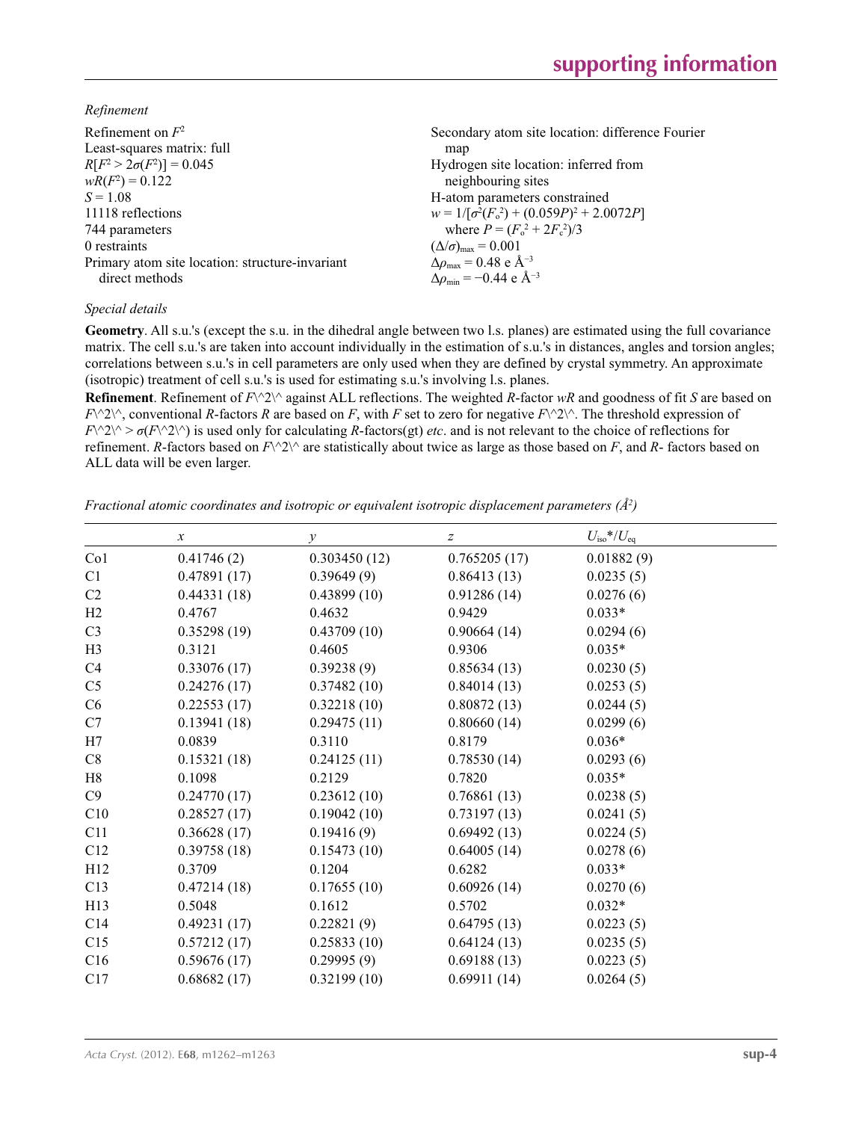*Refinement*

| Refinement on $F^2$                             | Secondary atom site location: difference Fourier          |
|-------------------------------------------------|-----------------------------------------------------------|
| Least-squares matrix: full                      | map                                                       |
| $R[F^2 > 2\sigma(F^2)] = 0.045$                 | Hydrogen site location: inferred from                     |
| $wR(F^2) = 0.122$                               | neighbouring sites                                        |
| $S = 1.08$                                      | H-atom parameters constrained                             |
| 11118 reflections                               | $w = 1/[\sigma^2(F_0^2) + (0.059P)^2 + 2.0072P]$          |
| 744 parameters                                  | where $P = (F_o^2 + 2F_c^2)/3$                            |
| 0 restraints                                    | $(\Delta/\sigma)_{\text{max}} = 0.001$                    |
| Primary atom site location: structure-invariant | $\Delta\rho_{\text{max}} = 0.48$ e Å <sup>-3</sup>        |
| direct methods                                  | $\Delta\rho_{\rm min} = -0.44 \text{ e } \text{\AA}^{-3}$ |

### *Special details*

**Geometry**. All s.u.'s (except the s.u. in the dihedral angle between two l.s. planes) are estimated using the full covariance matrix. The cell s.u.'s are taken into account individually in the estimation of s.u.'s in distances, angles and torsion angles; correlations between s.u.'s in cell parameters are only used when they are defined by crystal symmetry. An approximate (isotropic) treatment of cell s.u.'s is used for estimating s.u.'s involving l.s. planes.

**Refinement**. Refinement of *F*\^2\^ against ALL reflections. The weighted *R*-factor *wR* and goodness of fit *S* are based on  $F\wedge 2\wedge$ , conventional *R*-factors *R* are based on *F*, with *F* set to zero for negative  $F\wedge 2\wedge$ . The threshold expression of  $F\{\> \sigma(F\> \gamma\> \sigma(F\> \gamma)\}\$  is used only for calculating *R*-factors(gt) *etc*. and is not relevant to the choice of reflections for refinement. *R*-factors based on  $F\wedge 2\wedge$  are statistically about twice as large as those based on *F*, and *R*- factors based on ALL data will be even larger.

*Fractional atomic coordinates and isotropic or equivalent isotropic displacement parameters (Å<sup>2</sup>)* 

|                 | $\boldsymbol{x}$ | $\mathcal{Y}$ | Ζ            | $U_{\rm iso}$ */ $U_{\rm eq}$ |  |
|-----------------|------------------|---------------|--------------|-------------------------------|--|
| Co <sub>1</sub> | 0.41746(2)       | 0.303450(12)  | 0.765205(17) | 0.01882(9)                    |  |
| C1              | 0.47891(17)      | 0.39649(9)    | 0.86413(13)  | 0.0235(5)                     |  |
| C <sub>2</sub>  | 0.44331(18)      | 0.43899(10)   | 0.91286(14)  | 0.0276(6)                     |  |
| H2              | 0.4767           | 0.4632        | 0.9429       | $0.033*$                      |  |
| C <sub>3</sub>  | 0.35298(19)      | 0.43709(10)   | 0.90664(14)  | 0.0294(6)                     |  |
| H <sub>3</sub>  | 0.3121           | 0.4605        | 0.9306       | $0.035*$                      |  |
| C4              | 0.33076(17)      | 0.39238(9)    | 0.85634(13)  | 0.0230(5)                     |  |
| C <sub>5</sub>  | 0.24276(17)      | 0.37482(10)   | 0.84014(13)  | 0.0253(5)                     |  |
| C6              | 0.22553(17)      | 0.32218(10)   | 0.80872(13)  | 0.0244(5)                     |  |
| C7              | 0.13941(18)      | 0.29475(11)   | 0.80660(14)  | 0.0299(6)                     |  |
| H7              | 0.0839           | 0.3110        | 0.8179       | $0.036*$                      |  |
| C8              | 0.15321(18)      | 0.24125(11)   | 0.78530(14)  | 0.0293(6)                     |  |
| H8              | 0.1098           | 0.2129        | 0.7820       | $0.035*$                      |  |
| C9              | 0.24770(17)      | 0.23612(10)   | 0.76861(13)  | 0.0238(5)                     |  |
| C10             | 0.28527(17)      | 0.19042(10)   | 0.73197(13)  | 0.0241(5)                     |  |
| C11             | 0.36628(17)      | 0.19416(9)    | 0.69492(13)  | 0.0224(5)                     |  |
| C12             | 0.39758(18)      | 0.15473(10)   | 0.64005(14)  | 0.0278(6)                     |  |
| H12             | 0.3709           | 0.1204        | 0.6282       | $0.033*$                      |  |
| C13             | 0.47214(18)      | 0.17655(10)   | 0.60926(14)  | 0.0270(6)                     |  |
| H13             | 0.5048           | 0.1612        | 0.5702       | $0.032*$                      |  |
| C14             | 0.49231(17)      | 0.22821(9)    | 0.64795(13)  | 0.0223(5)                     |  |
| C15             | 0.57212(17)      | 0.25833(10)   | 0.64124(13)  | 0.0235(5)                     |  |
| C16             | 0.59676(17)      | 0.29995(9)    | 0.69188(13)  | 0.0223(5)                     |  |
| C17             | 0.68682(17)      | 0.32199(10)   | 0.69911(14)  | 0.0264(5)                     |  |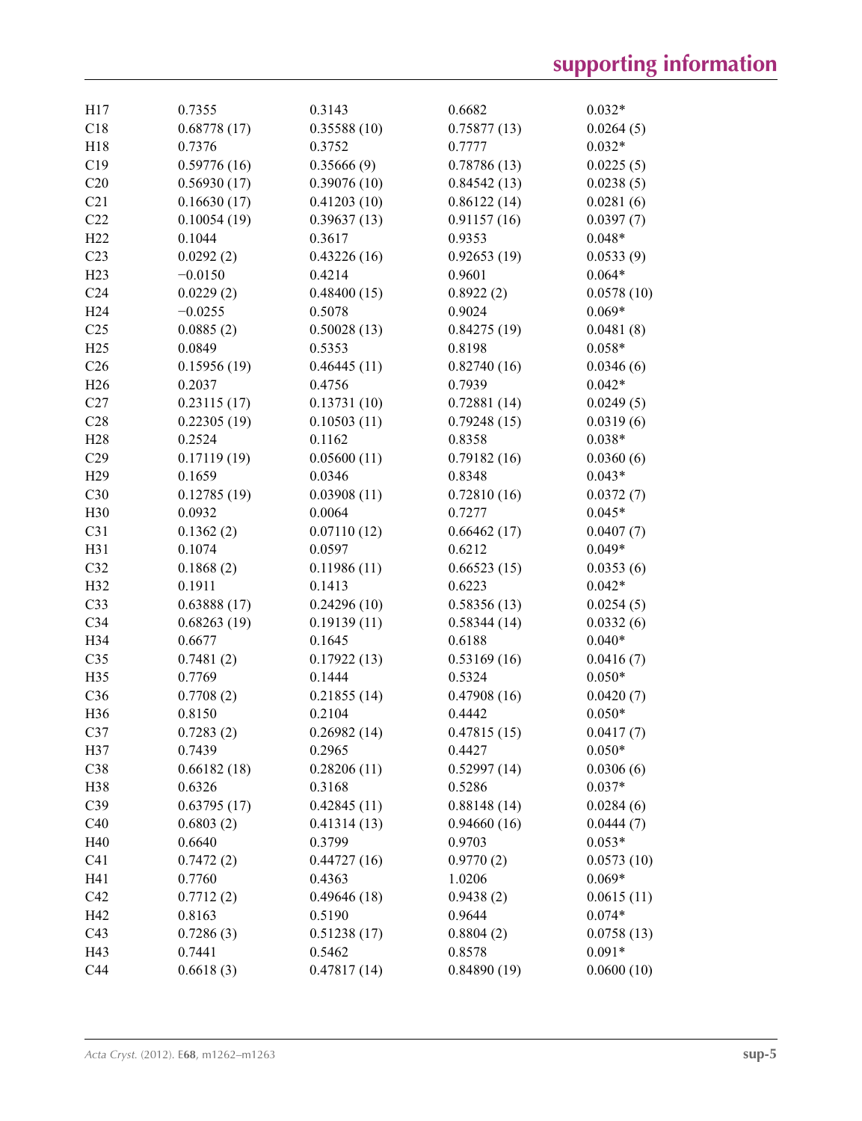| H17             | 0.7355      | 0.3143      | 0.6682      | $0.032*$   |
|-----------------|-------------|-------------|-------------|------------|
| C18             | 0.68778(17) | 0.35588(10) | 0.75877(13) | 0.0264(5)  |
| H18             | 0.7376      | 0.3752      | 0.7777      | $0.032*$   |
| C19             | 0.59776(16) | 0.35666(9)  | 0.78786(13) | 0.0225(5)  |
| C20             | 0.56930(17) | 0.39076(10) | 0.84542(13) | 0.0238(5)  |
| C21             | 0.16630(17) | 0.41203(10) | 0.86122(14) | 0.0281(6)  |
| C22             | 0.10054(19) | 0.39637(13) | 0.91157(16) | 0.0397(7)  |
| H22             | 0.1044      | 0.3617      | 0.9353      | $0.048*$   |
| C <sub>23</sub> | 0.0292(2)   | 0.43226(16) | 0.92653(19) | 0.0533(9)  |
| H23             | $-0.0150$   | 0.4214      | 0.9601      | $0.064*$   |
| C <sub>24</sub> | 0.0229(2)   | 0.48400(15) | 0.8922(2)   | 0.0578(10) |
| H24             | $-0.0255$   | 0.5078      | 0.9024      | $0.069*$   |
| C <sub>25</sub> | 0.0885(2)   | 0.50028(13) | 0.84275(19) | 0.0481(8)  |
| H25             | 0.0849      | 0.5353      | 0.8198      | $0.058*$   |
| C <sub>26</sub> | 0.15956(19) | 0.46445(11) | 0.82740(16) | 0.0346(6)  |
| H26             | 0.2037      | 0.4756      | 0.7939      | $0.042*$   |
| C27             | 0.23115(17) | 0.13731(10) | 0.72881(14) | 0.0249(5)  |
| C28             | 0.22305(19) | 0.10503(11) | 0.79248(15) | 0.0319(6)  |
| H <sub>28</sub> | 0.2524      | 0.1162      | 0.8358      | $0.038*$   |
| C29             | 0.17119(19) | 0.05600(11) | 0.79182(16) | 0.0360(6)  |
| H <sub>29</sub> | 0.1659      | 0.0346      | 0.8348      | $0.043*$   |
| C30             | 0.12785(19) | 0.03908(11) | 0.72810(16) | 0.0372(7)  |
| H30             | 0.0932      | 0.0064      | 0.7277      | $0.045*$   |
| C31             | 0.1362(2)   | 0.07110(12) | 0.66462(17) | 0.0407(7)  |
| H31             | 0.1074      | 0.0597      | 0.6212      | $0.049*$   |
| C32             | 0.1868(2)   | 0.11986(11) | 0.66523(15) | 0.0353(6)  |
| H <sub>32</sub> | 0.1911      | 0.1413      | 0.6223      | $0.042*$   |
| C33             | 0.63888(17) | 0.24296(10) | 0.58356(13) | 0.0254(5)  |
| C34             | 0.68263(19) | 0.19139(11) | 0.58344(14) | 0.0332(6)  |
| H34             | 0.6677      | 0.1645      | 0.6188      | $0.040*$   |
| C35             | 0.7481(2)   | 0.17922(13) | 0.53169(16) | 0.0416(7)  |
| H35             | 0.7769      | 0.1444      | 0.5324      | $0.050*$   |
| C36             | 0.7708(2)   | 0.21855(14) | 0.47908(16) | 0.0420(7)  |
| H36             | 0.8150      | 0.2104      | 0.4442      | $0.050*$   |
| C37             | 0.7283(2)   | 0.26982(14) | 0.47815(15) | 0.0417(7)  |
| H37             | 0.7439      | 0.2965      | 0.4427      | $0.050*$   |
| C38             | 0.66182(18) | 0.28206(11) | 0.52997(14) | 0.0306(6)  |
| H38             | 0.6326      | 0.3168      | 0.5286      | $0.037*$   |
| C39             | 0.63795(17) | 0.42845(11) | 0.88148(14) | 0.0284(6)  |
| C40             | 0.6803(2)   | 0.41314(13) | 0.94660(16) | 0.0444(7)  |
| H40             | 0.6640      | 0.3799      | 0.9703      | $0.053*$   |
| C <sub>41</sub> | 0.7472(2)   | 0.44727(16) | 0.9770(2)   | 0.0573(10) |
| H41             | 0.7760      | 0.4363      | 1.0206      | $0.069*$   |
| C42             | 0.7712(2)   | 0.49646(18) | 0.9438(2)   | 0.0615(11) |
| H42             | 0.8163      | 0.5190      | 0.9644      | $0.074*$   |
| C43             | 0.7286(3)   | 0.51238(17) | 0.8804(2)   | 0.0758(13) |
| H43             | 0.7441      | 0.5462      | 0.8578      | $0.091*$   |
| C44             | 0.6618(3)   | 0.47817(14) | 0.84890(19) | 0.0600(10) |
|                 |             |             |             |            |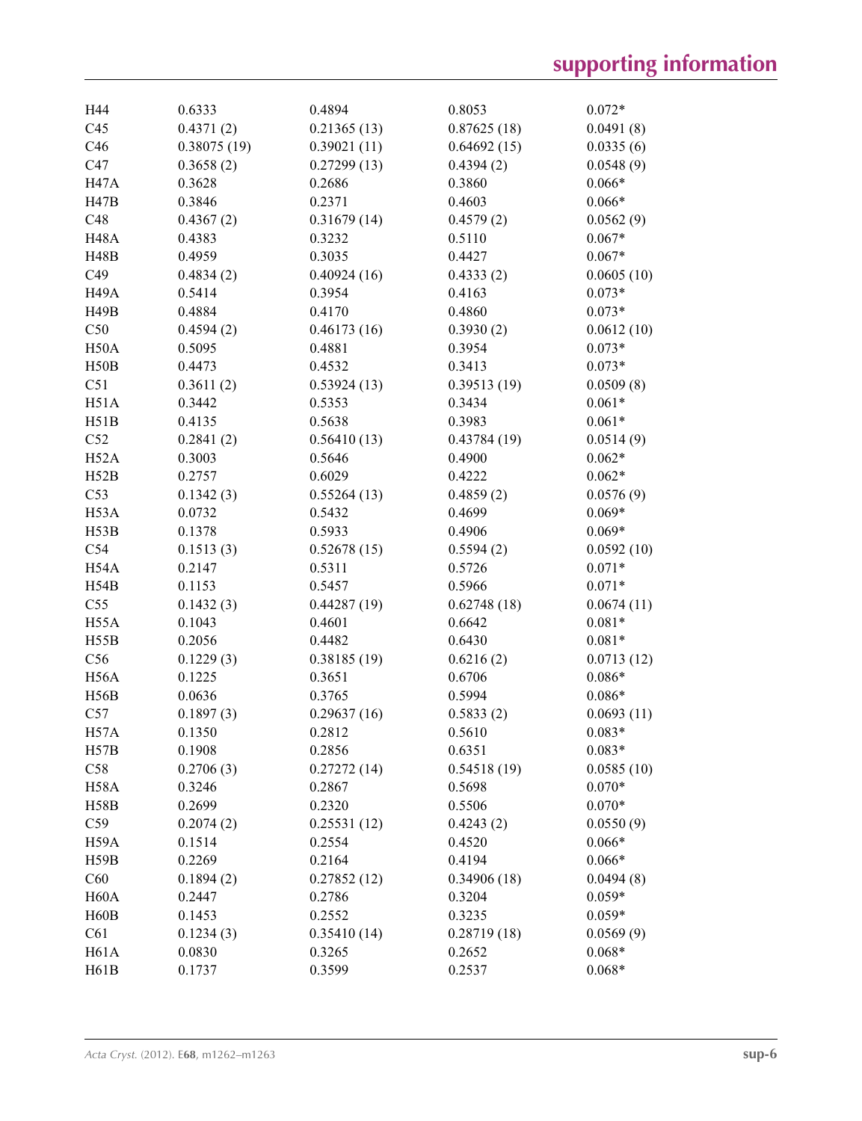| H44               | 0.6333      | 0.4894      | 0.8053      | $0.072*$   |
|-------------------|-------------|-------------|-------------|------------|
| C45               | 0.4371(2)   | 0.21365(13) | 0.87625(18) | 0.0491(8)  |
| C46               | 0.38075(19) | 0.39021(11) | 0.64692(15) | 0.0335(6)  |
| C47               | 0.3658(2)   | 0.27299(13) | 0.4394(2)   | 0.0548(9)  |
| <b>H47A</b>       | 0.3628      | 0.2686      | 0.3860      | $0.066*$   |
| H47B              | 0.3846      | 0.2371      | 0.4603      | $0.066*$   |
| C48               | 0.4367(2)   | 0.31679(14) | 0.4579(2)   | 0.0562(9)  |
| H <sub>48</sub> A | 0.4383      | 0.3232      | 0.5110      | $0.067*$   |
| <b>H48B</b>       | 0.4959      | 0.3035      | 0.4427      | $0.067*$   |
| C49               | 0.4834(2)   | 0.40924(16) | 0.4333(2)   | 0.0605(10) |
| H <sub>49</sub> A | 0.5414      | 0.3954      | 0.4163      | $0.073*$   |
| <b>H49B</b>       | 0.4884      | 0.4170      | 0.4860      | $0.073*$   |
| C50               | 0.4594(2)   | 0.46173(16) | 0.3930(2)   | 0.0612(10) |
| H50A              | 0.5095      | 0.4881      | 0.3954      | $0.073*$   |
| H50B              | 0.4473      | 0.4532      | 0.3413      | $0.073*$   |
| C51               | 0.3611(2)   | 0.53924(13) | 0.39513(19) | 0.0509(8)  |
| H51A              | 0.3442      | 0.5353      | 0.3434      | $0.061*$   |
| H51B              | 0.4135      | 0.5638      | 0.3983      | $0.061*$   |
| C52               | 0.2841(2)   | 0.56410(13) | 0.43784(19) | 0.0514(9)  |
| H52A              | 0.3003      | 0.5646      | 0.4900      | $0.062*$   |
| H52B              | 0.2757      | 0.6029      | 0.4222      | $0.062*$   |
| C53               | 0.1342(3)   | 0.55264(13) | 0.4859(2)   | 0.0576(9)  |
| H <sub>53</sub> A | 0.0732      | 0.5432      | 0.4699      | $0.069*$   |
| H53B              | 0.1378      | 0.5933      | 0.4906      | $0.069*$   |
| C54               | 0.1513(3)   | 0.52678(15) | 0.5594(2)   | 0.0592(10) |
| H <sub>54</sub> A | 0.2147      | 0.5311      | 0.5726      | $0.071*$   |
| H54B              | 0.1153      | 0.5457      | 0.5966      | $0.071*$   |
| C55               | 0.1432(3)   | 0.44287(19) | 0.62748(18) | 0.0674(11) |
| H <sub>55</sub> A | 0.1043      | 0.4601      | 0.6642      | $0.081*$   |
| H55B              | 0.2056      | 0.4482      | 0.6430      | $0.081*$   |
| C56               | 0.1229(3)   | 0.38185(19) | 0.6216(2)   | 0.0713(12) |
| H <sub>56</sub> A | 0.1225      | 0.3651      | 0.6706      | $0.086*$   |
| H56B              | 0.0636      | 0.3765      | 0.5994      | $0.086*$   |
| C57               | 0.1897(3)   | 0.29637(16) | 0.5833(2)   | 0.0693(11) |
| H57A              | 0.1350      | 0.2812      | 0.5610      | $0.083*$   |
| H57B              | 0.1908      | 0.2856      | 0.6351      | $0.083*$   |
| C58               | 0.2706(3)   | 0.27272(14) | 0.54518(19) | 0.0585(10) |
| <b>H58A</b>       | 0.3246      | 0.2867      | 0.5698      | $0.070*$   |
| <b>H58B</b>       | 0.2699      | 0.2320      | 0.5506      | $0.070*$   |
| C59               | 0.2074(2)   | 0.25531(12) | 0.4243(2)   | 0.0550(9)  |
| H59A              | 0.1514      | 0.2554      | 0.4520      | $0.066*$   |
| H59B              | 0.2269      | 0.2164      | 0.4194      | $0.066*$   |
| C60               | 0.1894(2)   | 0.27852(12) | 0.34906(18) | 0.0494(8)  |
| H <sub>60</sub> A | 0.2447      | 0.2786      | 0.3204      | $0.059*$   |
| H <sub>60</sub> B | 0.1453      | 0.2552      | 0.3235      | $0.059*$   |
| C61               | 0.1234(3)   | 0.35410(14) | 0.28719(18) | 0.0569(9)  |
| <b>H61A</b>       | 0.0830      | 0.3265      | 0.2652      | $0.068*$   |
| H61B              | 0.1737      | 0.3599      | 0.2537      | $0.068*$   |
|                   |             |             |             |            |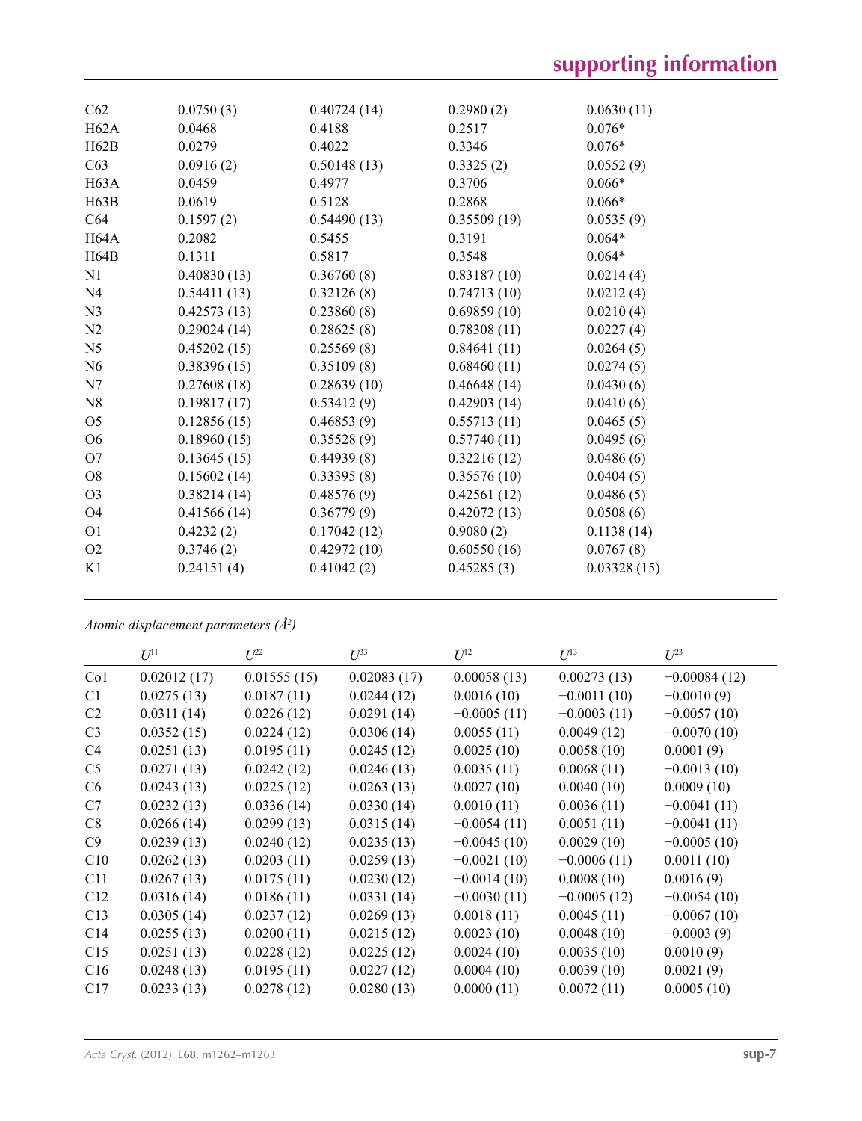| C62               | 0.0750(3)   | 0.40724(14) | 0.2980(2)   | 0.0630(11)  |
|-------------------|-------------|-------------|-------------|-------------|
| H62A              | 0.0468      | 0.4188      | 0.2517      | $0.076*$    |
| H62B              | 0.0279      | 0.4022      | 0.3346      | $0.076*$    |
| C63               | 0.0916(2)   | 0.50148(13) | 0.3325(2)   | 0.0552(9)   |
| H63A              | 0.0459      | 0.4977      | 0.3706      | $0.066*$    |
| H63B              | 0.0619      | 0.5128      | 0.2868      | $0.066*$    |
| C64               | 0.1597(2)   | 0.54490(13) | 0.35509(19) | 0.0535(9)   |
| H <sub>64</sub> A | 0.2082      | 0.5455      | 0.3191      | $0.064*$    |
| H64B              | 0.1311      | 0.5817      | 0.3548      | $0.064*$    |
| N1                | 0.40830(13) | 0.36760(8)  | 0.83187(10) | 0.0214(4)   |
| N <sub>4</sub>    | 0.54411(13) | 0.32126(8)  | 0.74713(10) | 0.0212(4)   |
| N <sub>3</sub>    | 0.42573(13) | 0.23860(8)  | 0.69859(10) | 0.0210(4)   |
| N2                | 0.29024(14) | 0.28625(8)  | 0.78308(11) | 0.0227(4)   |
| N <sub>5</sub>    | 0.45202(15) | 0.25569(8)  | 0.84641(11) | 0.0264(5)   |
| N <sub>6</sub>    | 0.38396(15) | 0.35109(8)  | 0.68460(11) | 0.0274(5)   |
| N7                | 0.27608(18) | 0.28639(10) | 0.46648(14) | 0.0430(6)   |
| N8                | 0.19817(17) | 0.53412(9)  | 0.42903(14) | 0.0410(6)   |
| O <sub>5</sub>    | 0.12856(15) | 0.46853(9)  | 0.55713(11) | 0.0465(5)   |
| O <sub>6</sub>    | 0.18960(15) | 0.35528(9)  | 0.57740(11) | 0.0495(6)   |
| O7                | 0.13645(15) | 0.44939(8)  | 0.32216(12) | 0.0486(6)   |
| O8                | 0.15602(14) | 0.33395(8)  | 0.35576(10) | 0.0404(5)   |
| O <sub>3</sub>    | 0.38214(14) | 0.48576(9)  | 0.42561(12) | 0.0486(5)   |
| O <sub>4</sub>    | 0.41566(14) | 0.36779(9)  | 0.42072(13) | 0.0508(6)   |
| O <sub>1</sub>    | 0.4232(2)   | 0.17042(12) | 0.9080(2)   | 0.1138(14)  |
| O2                | 0.3746(2)   | 0.42972(10) | 0.60550(16) | 0.0767(8)   |
| K1                | 0.24151(4)  | 0.41042(2)  | 0.45285(3)  | 0.03328(15) |
|                   |             |             |             |             |

*Atomic displacement parameters (Å2 )*

|                 | $U^{11}$    | $U^{22}$    | $U^{33}$    | $U^{12}$      | $U^{13}$      | $U^{23}$       |
|-----------------|-------------|-------------|-------------|---------------|---------------|----------------|
| Co <sub>1</sub> | 0.02012(17) | 0.01555(15) | 0.02083(17) | 0.00058(13)   | 0.00273(13)   | $-0.00084(12)$ |
| C1              | 0.0275(13)  | 0.0187(11)  | 0.0244(12)  | 0.0016(10)    | $-0.0011(10)$ | $-0.0010(9)$   |
| C <sub>2</sub>  | 0.0311(14)  | 0.0226(12)  | 0.0291(14)  | $-0.0005(11)$ | $-0.0003(11)$ | $-0.0057(10)$  |
| C <sub>3</sub>  | 0.0352(15)  | 0.0224(12)  | 0.0306(14)  | 0.0055(11)    | 0.0049(12)    | $-0.0070(10)$  |
| C4              | 0.0251(13)  | 0.0195(11)  | 0.0245(12)  | 0.0025(10)    | 0.0058(10)    | 0.0001(9)      |
| C <sub>5</sub>  | 0.0271(13)  | 0.0242(12)  | 0.0246(13)  | 0.0035(11)    | 0.0068(11)    | $-0.0013(10)$  |
| C6              | 0.0243(13)  | 0.0225(12)  | 0.0263(13)  | 0.0027(10)    | 0.0040(10)    | 0.0009(10)     |
| C7              | 0.0232(13)  | 0.0336(14)  | 0.0330(14)  | 0.0010(11)    | 0.0036(11)    | $-0.0041(11)$  |
| C8              | 0.0266(14)  | 0.0299(13)  | 0.0315(14)  | $-0.0054(11)$ | 0.0051(11)    | $-0.0041(11)$  |
| C9              | 0.0239(13)  | 0.0240(12)  | 0.0235(13)  | $-0.0045(10)$ | 0.0029(10)    | $-0.0005(10)$  |
| C10             | 0.0262(13)  | 0.0203(11)  | 0.0259(13)  | $-0.0021(10)$ | $-0.0006(11)$ | 0.0011(10)     |
| C11             | 0.0267(13)  | 0.0175(11)  | 0.0230(12)  | $-0.0014(10)$ | 0.0008(10)    | 0.0016(9)      |
| C12             | 0.0316(14)  | 0.0186(11)  | 0.0331(14)  | $-0.0030(11)$ | $-0.0005(12)$ | $-0.0054(10)$  |
| C13             | 0.0305(14)  | 0.0237(12)  | 0.0269(13)  | 0.0018(11)    | 0.0045(11)    | $-0.0067(10)$  |
| C14             | 0.0255(13)  | 0.0200(11)  | 0.0215(12)  | 0.0023(10)    | 0.0048(10)    | $-0.0003(9)$   |
| C15             | 0.0251(13)  | 0.0228(12)  | 0.0225(12)  | 0.0024(10)    | 0.0035(10)    | 0.0010(9)      |
| C16             | 0.0248(13)  | 0.0195(11)  | 0.0227(12)  | 0.0004(10)    | 0.0039(10)    | 0.0021(9)      |
| C17             | 0.0233(13)  | 0.0278(12)  | 0.0280(13)  | 0.0000(11)    | 0.0072(11)    | 0.0005(10)     |
|                 |             |             |             |               |               |                |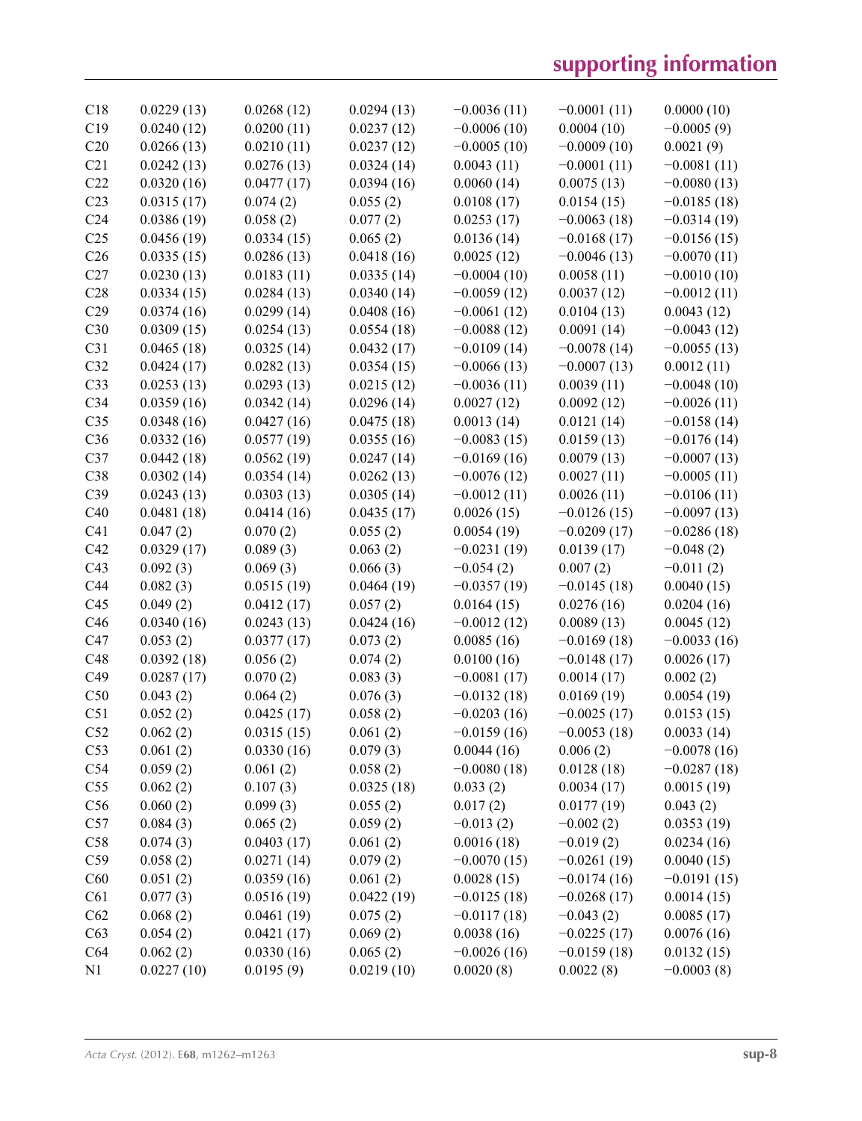| C18<br>C19<br>C20<br>C21<br>C22<br>C <sub>23</sub><br>C <sub>24</sub><br>C <sub>25</sub> | 0.0229(13)<br>0.0240(12)<br>0.0266(13)<br>0.0242(13) | 0.0268(12)<br>0.0200(11) | 0.0294(13)           |               |                           |                             |
|------------------------------------------------------------------------------------------|------------------------------------------------------|--------------------------|----------------------|---------------|---------------------------|-----------------------------|
|                                                                                          |                                                      |                          |                      | $-0.0036(11)$ | $-0.0001(11)$             | 0.0000(10)                  |
|                                                                                          |                                                      |                          | 0.0237(12)           | $-0.0006(10)$ | 0.0004(10)                | $-0.0005(9)$                |
|                                                                                          |                                                      | 0.0210(11)               | 0.0237(12)           | $-0.0005(10)$ | $-0.0009(10)$             | 0.0021(9)                   |
|                                                                                          |                                                      | 0.0276(13)               | 0.0324(14)           | 0.0043(11)    | $-0.0001(11)$             | $-0.0081(11)$               |
|                                                                                          | 0.0320(16)                                           | 0.0477(17)               | 0.0394(16)           | 0.0060(14)    | 0.0075(13)                | $-0.0080(13)$               |
|                                                                                          | 0.0315(17)                                           | 0.074(2)                 | 0.055(2)             | 0.0108(17)    | 0.0154(15)                | $-0.0185(18)$               |
|                                                                                          | 0.0386(19)                                           | 0.058(2)                 | 0.077(2)             | 0.0253(17)    | $-0.0063(18)$             | $-0.0314(19)$               |
|                                                                                          | 0.0456(19)                                           | 0.0334(15)               | 0.065(2)             | 0.0136(14)    | $-0.0168(17)$             | $-0.0156(15)$               |
| C <sub>26</sub>                                                                          | 0.0335(15)                                           | 0.0286(13)               | 0.0418(16)           | 0.0025(12)    | $-0.0046(13)$             | $-0.0070(11)$               |
| C27                                                                                      | 0.0230(13)                                           | 0.0183(11)               | 0.0335(14)           | $-0.0004(10)$ | 0.0058(11)                | $-0.0010(10)$               |
| C28                                                                                      | 0.0334(15)                                           | 0.0284(13)               | 0.0340(14)           | $-0.0059(12)$ | 0.0037(12)                | $-0.0012(11)$               |
| C29                                                                                      | 0.0374(16)                                           | 0.0299(14)               | 0.0408(16)           | $-0.0061(12)$ | 0.0104(13)                | 0.0043(12)                  |
| C30                                                                                      | 0.0309(15)                                           | 0.0254(13)               | 0.0554(18)           | $-0.0088(12)$ | 0.0091(14)                | $-0.0043(12)$               |
| C31                                                                                      | 0.0465(18)                                           | 0.0325(14)               | 0.0432(17)           | $-0.0109(14)$ | $-0.0078(14)$             | $-0.0055(13)$               |
| C32                                                                                      | 0.0424(17)                                           | 0.0282(13)               | 0.0354(15)           | $-0.0066(13)$ | $-0.0007(13)$             | 0.0012(11)                  |
| C33                                                                                      | 0.0253(13)                                           | 0.0293(13)               | 0.0215(12)           | $-0.0036(11)$ | 0.0039(11)                | $-0.0048(10)$               |
| C34                                                                                      | 0.0359(16)                                           | 0.0342(14)               | 0.0296(14)           | 0.0027(12)    | 0.0092(12)                | $-0.0026(11)$               |
| C <sub>35</sub>                                                                          | 0.0348(16)                                           | 0.0427(16)               | 0.0475(18)           | 0.0013(14)    | 0.0121(14)                | $-0.0158(14)$               |
| C36                                                                                      | 0.0332(16)                                           | 0.0577(19)               | 0.0355(16)           | $-0.0083(15)$ | 0.0159(13)                | $-0.0176(14)$               |
| C37                                                                                      | 0.0442(18)                                           | 0.0562(19)               | 0.0247(14)           | $-0.0169(16)$ | 0.0079(13)                | $-0.0007(13)$               |
| C38                                                                                      | 0.0302(14)                                           | 0.0354(14)               | 0.0262(13)           | $-0.0076(12)$ | 0.0027(11)                | $-0.0005(11)$               |
| C39                                                                                      | 0.0243(13)                                           | 0.0303(13)               | 0.0305(14)           | $-0.0012(11)$ | 0.0026(11)                | $-0.0106(11)$               |
| C40                                                                                      | 0.0481(18)                                           | 0.0414(16)               | 0.0435(17)           | 0.0026(15)    | $-0.0126(15)$             | $-0.0097(13)$               |
| C <sub>41</sub>                                                                          | 0.047(2)                                             | 0.070(2)                 | 0.055(2)             | 0.0054(19)    | $-0.0209(17)$             | $-0.0286(18)$               |
| C42                                                                                      | 0.0329(17)                                           | 0.089(3)                 | 0.063(2)             | $-0.0231(19)$ | 0.0139(17)                | $-0.048(2)$                 |
| C43                                                                                      | 0.092(3)                                             | 0.069(3)                 | 0.066(3)             | $-0.054(2)$   | 0.007(2)                  | $-0.011(2)$                 |
| C44                                                                                      | 0.082(3)                                             | 0.0515(19)               | 0.0464(19)           | $-0.0357(19)$ | $-0.0145(18)$             | 0.0040(15)                  |
| C45                                                                                      | 0.049(2)                                             | 0.0412(17)               | 0.057(2)             | 0.0164(15)    | 0.0276(16)                | 0.0204(16)                  |
| C46                                                                                      | 0.0340(16)                                           | 0.0243(13)               | 0.0424(16)           | $-0.0012(12)$ | 0.0089(13)                | 0.0045(12)                  |
| C47                                                                                      | 0.053(2)                                             | 0.0377(17)               | 0.073(2)             | 0.0085(16)    | $-0.0169(18)$             | $-0.0033(16)$               |
| C48                                                                                      | 0.0392(18)                                           | 0.056(2)                 | 0.074(2)             | 0.0100(16)    | $-0.0148(17)$             | 0.0026(17)                  |
|                                                                                          | 0.0287(17)                                           | 0.070(2)                 | 0.083(3)             | $-0.0081(17)$ | 0.0014(17)                |                             |
| C49                                                                                      |                                                      |                          |                      |               |                           |                             |
| C50                                                                                      | 0.043(2)                                             | 0.064(2)                 |                      | $-0.0132(18)$ | 0.0169(19)                | 0.002(2)<br>0.0054(19)      |
| C51                                                                                      | 0.052(2)                                             | 0.0425(17)               | 0.076(3)             | $-0.0203(16)$ | $-0.0025(17)$             | 0.0153(15)                  |
| C52                                                                                      |                                                      |                          | 0.058(2)<br>0.061(2) | $-0.0159(16)$ | $-0.0053(18)$             |                             |
| C53                                                                                      | 0.062(2)                                             | 0.0315(15)<br>0.0330(16) | 0.079(3)             | 0.0044(16)    |                           | 0.0033(14)<br>$-0.0078(16)$ |
| C54                                                                                      | 0.061(2)<br>0.059(2)                                 | 0.061(2)                 | 0.058(2)             | $-0.0080(18)$ | 0.006(2)<br>0.0128(18)    | $-0.0287(18)$               |
| C55                                                                                      | 0.062(2)                                             | 0.107(3)                 | 0.0325(18)           | 0.033(2)      | 0.0034(17)                | 0.0015(19)                  |
| C56                                                                                      | 0.060(2)                                             | 0.099(3)                 | 0.055(2)             | 0.017(2)      |                           | 0.043(2)                    |
| C57                                                                                      | 0.084(3)                                             | 0.065(2)                 | 0.059(2)             | $-0.013(2)$   | 0.0177(19)<br>$-0.002(2)$ |                             |
| C58                                                                                      | 0.074(3)                                             | 0.0403(17)               | 0.061(2)             | 0.0016(18)    | $-0.019(2)$               | 0.0353(19)<br>0.0234(16)    |
| C59                                                                                      |                                                      | 0.0271(14)               | 0.079(2)             | $-0.0070(15)$ | $-0.0261(19)$             |                             |
| C60                                                                                      | 0.058(2)<br>0.051(2)                                 | 0.0359(16)               | 0.061(2)             | 0.0028(15)    | $-0.0174(16)$             | 0.0040(15)                  |
| C61                                                                                      | 0.077(3)                                             | 0.0516(19)               | 0.0422(19)           | $-0.0125(18)$ | $-0.0268(17)$             | $-0.0191(15)$<br>0.0014(15) |
| C62                                                                                      | 0.068(2)                                             | 0.0461(19)               | 0.075(2)             | $-0.0117(18)$ | $-0.043(2)$               | 0.0085(17)                  |
| C63                                                                                      | 0.054(2)                                             | 0.0421(17)               | 0.069(2)             | 0.0038(16)    | $-0.0225(17)$             | 0.0076(16)                  |
| C64                                                                                      | 0.062(2)                                             | 0.0330(16)               | 0.065(2)             | $-0.0026(16)$ | $-0.0159(18)$             | 0.0132(15)                  |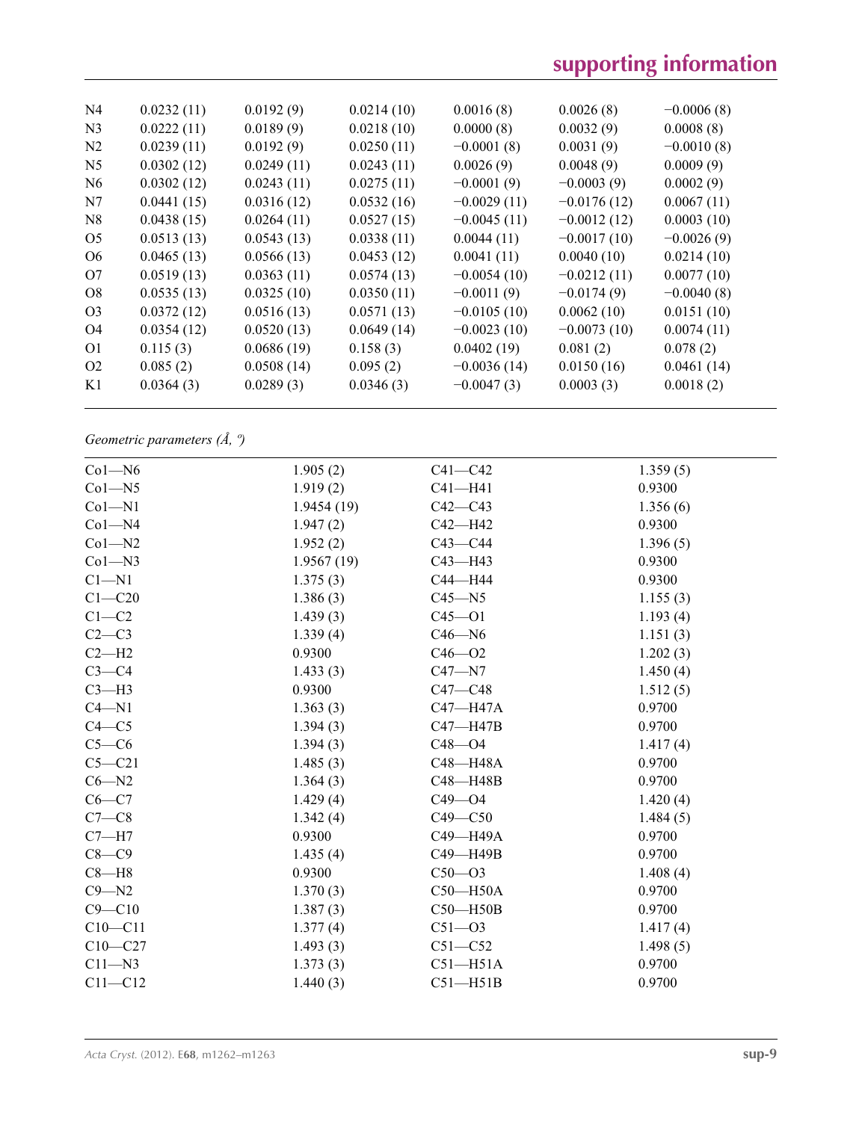| N <sub>4</sub> | 0.0232(11) | 0.0192(9)  | 0.0214(10) | 0.0016(8)     | 0.0026(8)     | $-0.0006(8)$ |
|----------------|------------|------------|------------|---------------|---------------|--------------|
| N <sub>3</sub> | 0.0222(11) | 0.0189(9)  | 0.0218(10) | 0.0000(8)     | 0.0032(9)     | 0.0008(8)    |
| N2             | 0.0239(11) | 0.0192(9)  | 0.0250(11) | $-0.0001(8)$  | 0.0031(9)     | $-0.0010(8)$ |
| N <sub>5</sub> | 0.0302(12) | 0.0249(11) | 0.0243(11) | 0.0026(9)     | 0.0048(9)     | 0.0009(9)    |
| N <sub>6</sub> | 0.0302(12) | 0.0243(11) | 0.0275(11) | $-0.0001(9)$  | $-0.0003(9)$  | 0.0002(9)    |
| N7             | 0.0441(15) | 0.0316(12) | 0.0532(16) | $-0.0029(11)$ | $-0.0176(12)$ | 0.0067(11)   |
| N8             | 0.0438(15) | 0.0264(11) | 0.0527(15) | $-0.0045(11)$ | $-0.0012(12)$ | 0.0003(10)   |
| O <sub>5</sub> | 0.0513(13) | 0.0543(13) | 0.0338(11) | 0.0044(11)    | $-0.0017(10)$ | $-0.0026(9)$ |
| O <sub>6</sub> | 0.0465(13) | 0.0566(13) | 0.0453(12) | 0.0041(11)    | 0.0040(10)    | 0.0214(10)   |
| O <sub>7</sub> | 0.0519(13) | 0.0363(11) | 0.0574(13) | $-0.0054(10)$ | $-0.0212(11)$ | 0.0077(10)   |
| O <sub>8</sub> | 0.0535(13) | 0.0325(10) | 0.0350(11) | $-0.0011(9)$  | $-0.0174(9)$  | $-0.0040(8)$ |
| O <sub>3</sub> | 0.0372(12) | 0.0516(13) | 0.0571(13) | $-0.0105(10)$ | 0.0062(10)    | 0.0151(10)   |
| O4             | 0.0354(12) | 0.0520(13) | 0.0649(14) | $-0.0023(10)$ | $-0.0073(10)$ | 0.0074(11)   |
| O <sub>1</sub> | 0.115(3)   | 0.0686(19) | 0.158(3)   | 0.0402(19)    | 0.081(2)      | 0.078(2)     |
| O <sub>2</sub> | 0.085(2)   | 0.0508(14) | 0.095(2)   | $-0.0036(14)$ | 0.0150(16)    | 0.0461(14)   |
| K1             | 0.0364(3)  | 0.0289(3)  | 0.0346(3)  | $-0.0047(3)$  | 0.0003(3)     | 0.0018(2)    |
|                |            |            |            |               |               |              |

*Geometric parameters (Å, º)*

| $Co1 - N6$  | 1.905(2)   | $C41 - C42$  | 1.359(5) |
|-------------|------------|--------------|----------|
| $Co1 - N5$  | 1.919(2)   | $C41 - H41$  | 0.9300   |
| $Co1 - N1$  | 1.9454(19) | $C42 - C43$  | 1.356(6) |
| $Co1 - N4$  | 1.947(2)   | $C42 - H42$  | 0.9300   |
| $Co1 - N2$  | 1.952(2)   | $C43 - C44$  | 1.396(5) |
| $Co1 - N3$  | 1.9567(19) | $C43 - H43$  | 0.9300   |
| $C1 - N1$   | 1.375(3)   | C44-H44      | 0.9300   |
| $C1 - C20$  | 1.386(3)   | $C45 - N5$   | 1.155(3) |
| $C1 - C2$   | 1.439(3)   | $C45 - 01$   | 1.193(4) |
| $C2-C3$     | 1.339(4)   | $C46 - N6$   | 1.151(3) |
| $C2-H2$     | 0.9300     | $C46 - O2$   | 1.202(3) |
| $C3-C4$     | 1.433(3)   | $C47 - N7$   | 1.450(4) |
| $C3-H3$     | 0.9300     | $C47 - C48$  | 1.512(5) |
| $C4 - N1$   | 1.363(3)   | C47-H47A     | 0.9700   |
| $C4 - C5$   | 1.394(3)   | $C47 - H47B$ | 0.9700   |
| $C5-C6$     | 1.394(3)   | $C48 - 04$   | 1.417(4) |
| $C5 - C21$  | 1.485(3)   | C48-H48A     | 0.9700   |
| $C6 - N2$   | 1.364(3)   | C48-H48B     | 0.9700   |
| $C6 - C7$   | 1.429(4)   | $C49 - O4$   | 1.420(4) |
| $C7-C8$     | 1.342(4)   | $C49 - C50$  | 1.484(5) |
| $C7 - H7$   | 0.9300     | C49-H49A     | 0.9700   |
| $C8 - C9$   | 1.435(4)   | C49-H49B     | 0.9700   |
| $C8 - H8$   | 0.9300     | $C50 - O3$   | 1.408(4) |
| $C9 - N2$   | 1.370(3)   | $C50 - H50A$ | 0.9700   |
| $C9 - C10$  | 1.387(3)   | $C50 - H50B$ | 0.9700   |
| $C10 - C11$ | 1.377(4)   | $C51 - O3$   | 1.417(4) |
| $C10 - C27$ | 1.493(3)   | $C51 - C52$  | 1.498(5) |
| $C11 - N3$  | 1.373(3)   | $C51 - H51A$ | 0.9700   |
| $C11 - C12$ | 1.440(3)   | $C51 - H51B$ | 0.9700   |
|             |            |              |          |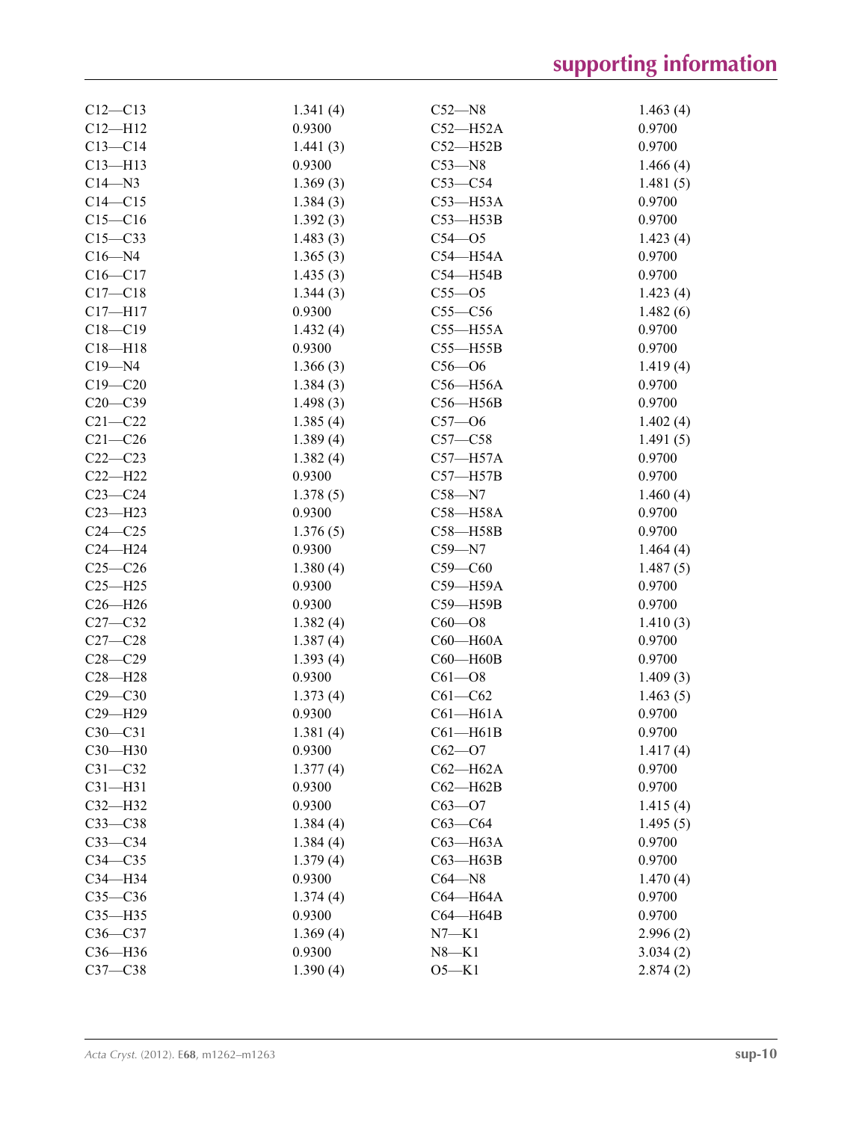| $C12 - C13$ | 1.341(4) | $C52 - N8$   | 1.463(4) |
|-------------|----------|--------------|----------|
| $C12 - H12$ | 0.9300   | $C52 - H52A$ | 0.9700   |
| $C13 - C14$ | 1.441(3) | $C52 - H52B$ | 0.9700   |
| $C13 - H13$ | 0.9300   | $C53 - N8$   | 1.466(4) |
| $C14 - N3$  | 1.369(3) | $C53-C54$    | 1.481(5) |
| $C14 - C15$ | 1.384(3) | $C53 - H53A$ | 0.9700   |
| $C15 - C16$ | 1.392(3) | $C53 - H53B$ | 0.9700   |
| $C15-C33$   | 1.483(3) | $C54 - O5$   | 1.423(4) |
| $C16 - N4$  | 1.365(3) | $C54 - H54A$ | 0.9700   |
| $C16 - C17$ | 1.435(3) | $C54 - H54B$ | 0.9700   |
| $C17-C18$   | 1.344(3) | $C55 - O5$   | 1.423(4) |
| $C17 - H17$ | 0.9300   | $C55-C56$    | 1.482(6) |
| $C18 - C19$ | 1.432(4) | $C55 - H55A$ | 0.9700   |
| $C18 - H18$ | 0.9300   | $C55 - H55B$ | 0.9700   |
| $C19 - N4$  | 1.366(3) | $C56 - O6$   | 1.419(4) |
| $C19 - C20$ | 1.384(3) | $C56 - H56A$ | 0.9700   |
| $C20 - C39$ | 1.498(3) | $C56 - H56B$ | 0.9700   |
| $C21 - C22$ | 1.385(4) | $C57 - 06$   | 1.402(4) |
| $C21 - C26$ | 1.389(4) | $C57 - C58$  | 1.491(5) |
| $C22-C23$   | 1.382(4) | $C57 - H57A$ | 0.9700   |
| $C22-H22$   | 0.9300   | $C57 - H57B$ | 0.9700   |
| $C23-C24$   | 1.378(5) | $C58 - N7$   | 1.460(4) |
| $C23 - H23$ | 0.9300   | C58-H58A     | 0.9700   |
| $C24 - C25$ | 1.376(5) | C58-H58B     | 0.9700   |
| $C24 - H24$ | 0.9300   | $C59 - N7$   | 1.464(4) |
| $C25-C26$   | 1.380(4) | $C59-C60$    | 1.487(5) |
| $C25 - H25$ | 0.9300   | C59-H59A     | 0.9700   |
| $C26 - H26$ | 0.9300   | C59-H59B     | 0.9700   |
| $C27-C32$   | 1.382(4) | $C60 - O8$   | 1.410(3) |
| $C27-C28$   | 1.387(4) | $C60 - H60A$ | 0.9700   |
| $C28 - C29$ | 1.393(4) | $C60 - H60B$ | 0.9700   |
| $C28 - H28$ | 0.9300   | $C61 - O8$   | 1.409(3) |
| $C29 - C30$ | 1.373(4) | $C61 - C62$  | 1.463(5) |
| C29-H29     | 0.9300   | $C61 - H61A$ | 0.9700   |
| $C30 - C31$ | 1.381(4) | $C61 - H61B$ | 0.9700   |
| $C30-H30$   | 0.9300   | $C62 - O7$   | 1.417(4) |
| $C31 - C32$ | 1.377(4) | $C62 - H62A$ | 0.9700   |
| $C31 - H31$ | 0.9300   | $C62 - H62B$ | 0.9700   |
| $C32-H32$   | 0.9300   | $C63 - O7$   | 1.415(4) |
| $C33-C38$   | 1.384(4) | $C63-C64$    | 1.495(5) |
| $C33-C34$   | 1.384(4) | C63-H63A     | 0.9700   |
| $C34 - C35$ | 1.379(4) | $C63 - H63B$ | 0.9700   |
| C34-H34     | 0.9300   | $C64 - N8$   | 1.470(4) |
| $C35-C36$   | 1.374(4) | C64-H64A     | 0.9700   |
| $C35 - H35$ | 0.9300   | C64-H64B     | 0.9700   |
| $C36-C37$   | 1.369(4) | $N7-K1$      | 2.996(2) |
| C36-H36     | 0.9300   | $N8 - K1$    | 3.034(2) |
| $C37-C38$   | 1.390(4) | $O5-K1$      | 2.874(2) |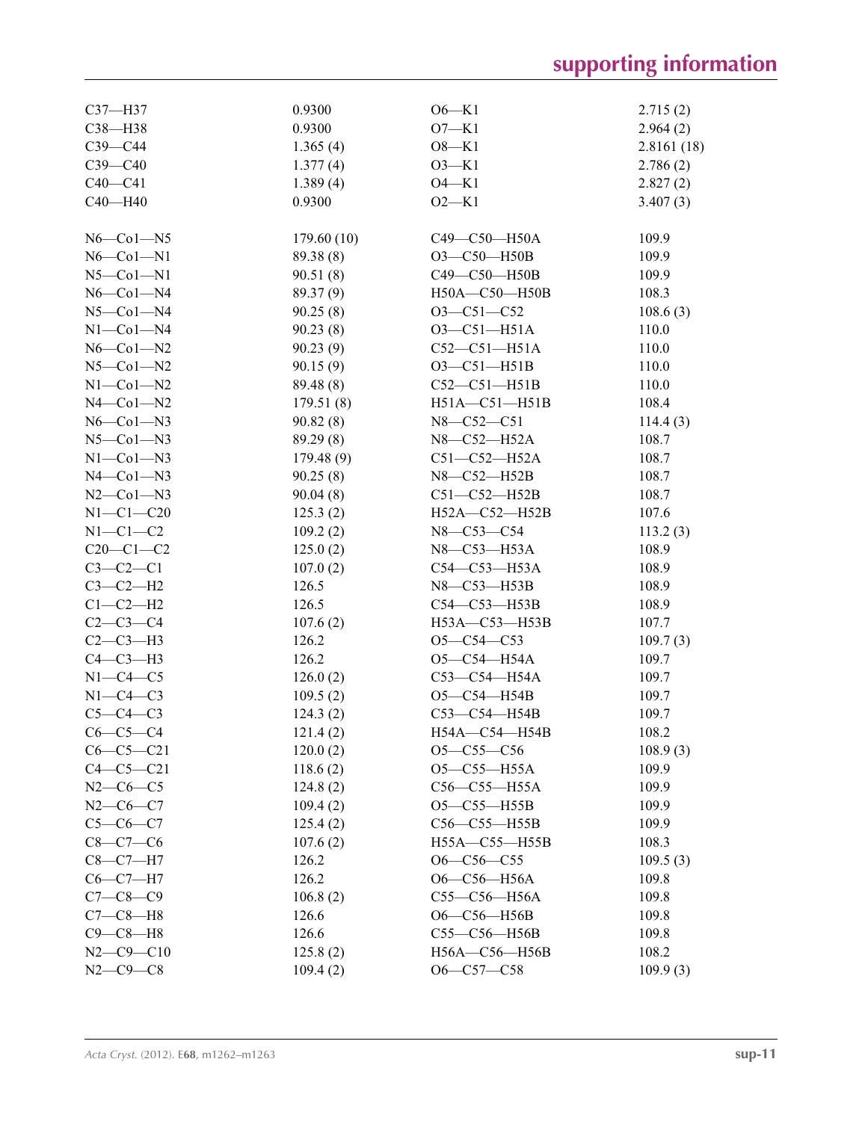| $C37 - H37$         | 0.9300     | $O6-K1$             | 2.715(2)   |
|---------------------|------------|---------------------|------------|
| C38-H38             | 0.9300     | $O7-K1$             | 2.964(2)   |
| $C39-C44$           | 1.365(4)   | $O8-K1$             | 2.8161(18) |
| $C39-C40$           | 1.377(4)   | $O3-K1$             | 2.786(2)   |
| $C40 - C41$         | 1.389(4)   | $O4 - K1$           | 2.827(2)   |
| $C40 - H40$         | 0.9300     | $O2 - K1$           | 3.407(3)   |
|                     |            |                     |            |
| $N6$ –Col–N5        | 179.60(10) | C49-C50-H50A        | 109.9      |
| $N6$ – $Co1$ – $N1$ | 89.38 (8)  | $O3 - C50 - H50B$   | 109.9      |
| $N5$ -Col-N1        | 90.51(8)   | C49-C50-H50B        | 109.9      |
| $N6$ -Col-N4        | 89.37(9)   | H50A-C50-H50B       | 108.3      |
| $N5$ -Col-N4        | 90.25(8)   | $O3 - C51 - C52$    | 108.6(3)   |
| $N1-Co1-N4$         | 90.23(8)   | $O3 - C51 - H51A$   | 110.0      |
| $N6$ –Col–N2        | 90.23(9)   | $C52-C51-H51A$      | 110.0      |
| $N5$ -Col- $N2$     | 90.15(9)   | $O3 - C51 - H51B$   | 110.0      |
| $N1$ -Co $1$ -N2    | 89.48 (8)  | $C52-C51-H51B$      | 110.0      |
| $N4$ –Col–N2        | 179.51(8)  | $H51A - C51 - H51B$ | 108.4      |
| $N6$ –Col–N3        | 90.82(8)   | N8-C52-C51          | 114.4(3)   |
| $N5$ — $Co1$ — $N3$ | 89.29(8)   | N8-C52-H52A         | 108.7      |
| $N1$ — $Co1$ — $N3$ | 179.48(9)  | $C51-C52-H52A$      | 108.7      |
| $N4$ –Col–N3        | 90.25(8)   | N8-C52-H52B         | 108.7      |
| $N2$ –Co $1$ –N3    |            | $C51-C52-H52B$      | 108.7      |
|                     | 90.04(8)   |                     |            |
| $N1-C1-C20$         | 125.3(2)   | H52A-C52-H52B       | 107.6      |
| $N1-C1-C2$          | 109.2(2)   | N8-C53-C54          | 113.2(3)   |
| $C20-C1-C2$         | 125.0(2)   | N8-C53-H53A         | 108.9      |
| $C3-C2-C1$          | 107.0(2)   | C54-C53-H53A        | 108.9      |
| $C3-C2-H2$          | 126.5      | N8-C53-H53B         | 108.9      |
| $C1-C2-H2$          | 126.5      | C54-C53-H53B        | 108.9      |
| $C2-C3-C4$          | 107.6(2)   | H53A-C53-H53B       | 107.7      |
| $C2-C3-H3$          | 126.2      | $O5-C54-C53$        | 109.7(3)   |
| $C4-C3-H3$          | 126.2      | O5-C54-H54A         | 109.7      |
| $N1-C4-C5$          | 126.0(2)   | $C53-C54-H54A$      | 109.7      |
| $N1-C4-C3$          | 109.5(2)   | $O5 - C54 - H54B$   | 109.7      |
| $C5-C4-C3$          | 124.3(2)   | C53-C54-H54B        | 109.7      |
| $C6-C5-C4$          | 121.4(2)   | H54A-C54-H54B       | 108.2      |
| $C6-C5-C21$         | 120.0(2)   | $O5 - C55 - C56$    | 108.9(3)   |
| $C4 - C5 - C21$     | 118.6(2)   | $O5 - C55 - H55A$   | 109.9      |
| $N2-C6-C5$          | 124.8(2)   | C56-C55-H55A        | 109.9      |
| $N2-C6-C7$          | 109.4(2)   | $O5 - C55 - H55B$   | 109.9      |
| $C5 - C6 - C7$      | 125.4(2)   | C56-C55-H55B        | 109.9      |
| $C8-C7-C6$          | 107.6(2)   | H55A-C55-H55B       | 108.3      |
| $C8-C7-H7$          | 126.2      | $O6-C56-C55$        | 109.5(3)   |
| $C6-C7-H7$          | 126.2      | O6-C56-H56A         | 109.8      |
| $C7 - C8 - C9$      | 106.8(2)   | C55-C56-H56A        | 109.8      |
| $C7-C8-H8$          | 126.6      | O6-C56-H56B         | 109.8      |
| $C9-C8-H8$          | 126.6      | C55-C56-H56B        | 109.8      |
| $N2 - C9 - C10$     | 125.8(2)   | H56A-C56-H56B       | 108.2      |
| $N2-C9-C8$          | 109.4(2)   | O6-C57-C58          | 109.9(3)   |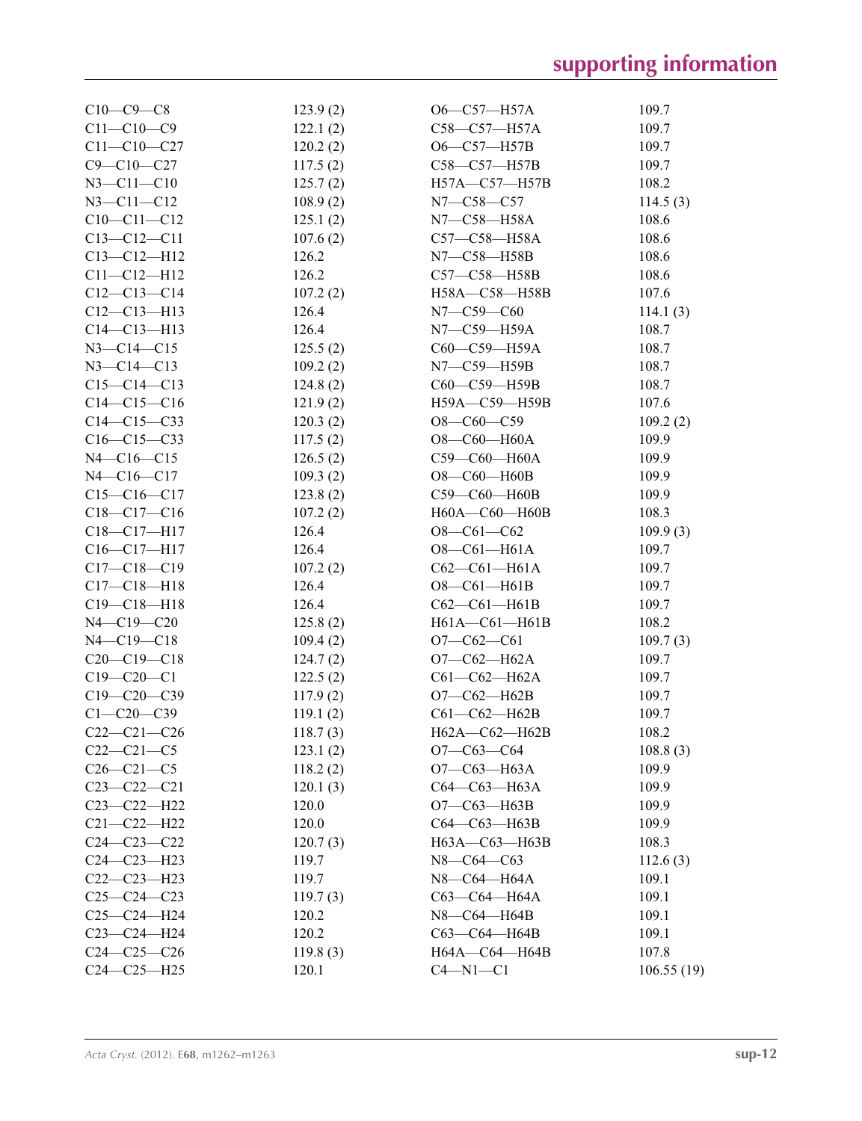| $C10-C9-C8$       | 123.9(2) | $O6-C57-H57A$         | 109.7      |
|-------------------|----------|-----------------------|------------|
| $C11 - C10 - C9$  | 122.1(2) | C58-C57-H57A          | 109.7      |
| $C11 - C10 - C27$ | 120.2(2) | $O6-C57-H57B$         | 109.7      |
| $C9 - C10 - C27$  | 117.5(2) | C58-C57-H57B          | 109.7      |
| $N3 - C11 - C10$  | 125.7(2) | H57A-C57-H57B         | 108.2      |
| $N3 - C11 - C12$  | 108.9(2) | N7-C58-C57            | 114.5(3)   |
| $C10-C11-C12$     | 125.1(2) | N7-C58-H58A           | 108.6      |
| $C13 - C12 - C11$ | 107.6(2) | C57-C58-H58A          | 108.6      |
| $C13 - C12 - H12$ | 126.2    | N7-C58-H58B           | 108.6      |
| $C11 - C12 - H12$ | 126.2    | C57-C58-H58B          | 108.6      |
| $C12-C13-C14$     | 107.2(2) | H58A-C58-H58B         | 107.6      |
| $C12 - C13 - H13$ | 126.4    | $N7 - C59 - C60$      | 114.1(3)   |
| $C14 - C13 - H13$ | 126.4    | N7-C59-H59A           | 108.7      |
| $N3 - C14 - C15$  | 125.5(2) | C60-C59-H59A          | 108.7      |
| $N3 - C14 - C13$  | 109.2(2) | $N7$ — $C59$ —H59B    | 108.7      |
| $C15-C14-C13$     | 124.8(2) | C60-C59-H59B          | 108.7      |
| $C14-C15-C16$     | 121.9(2) | H59A-C59-H59B         | 107.6      |
| $C14 - C15 - C33$ | 120.3(2) | $O8-C60-C59$          | 109.2(2)   |
| $C16-C15-C33$     | 117.5(2) | $O8$ — $C60$ — $H60A$ | 109.9      |
| $N4 - C16 - C15$  | 126.5(2) | C59-C60-H60A          | 109.9      |
| $N4 - C16 - C17$  | 109.3(2) | $O8 - CO - H60B$      | 109.9      |
| $C15-C16-C17$     | 123.8(2) | C59-C60-H60B          | 109.9      |
| $C18-C17-C16$     | 107.2(2) | H60A-C60-H60B         | 108.3      |
| $C18 - C17 - H17$ | 126.4    | $O8-C61-C62$          | 109.9(3)   |
| $C16 - C17 - H17$ | 126.4    | $O8 - CO1 - H61A$     | 109.7      |
| $C17 - C18 - C19$ | 107.2(2) | $C62-C61-H61A$        | 109.7      |
| $C17 - C18 - H18$ | 126.4    | $O8 - CO1 - H61B$     | 109.7      |
| $C19 - C18 - H18$ | 126.4    | $C62-C61-H61B$        | 109.7      |
| $N4 - C19 - C20$  | 125.8(2) | $H61A - C61 - H61B$   | 108.2      |
| $N4 - C19 - C18$  | 109.4(2) | $O7-C62-C61$          | 109.7(3)   |
| $C20-C19-C18$     | 124.7(2) | $O7-C62-H62A$         | 109.7      |
| $C19 - C20 - C1$  | 122.5(2) | $C61 - C62 - H62A$    | 109.7      |
| $C19 - C20 - C39$ | 117.9(2) | $O7-C62-H62B$         | 109.7      |
| $C1 - C20 - C39$  | 119.1(2) | $C61-C62-H62B$        | 109.7      |
| $C22-C21-C26$     | 118.7(3) | H62A-C62-H62B         | 108.2      |
| $C22-C21-C5$      | 123.1(2) | $O7-C63-C64$          | 108.8(3)   |
| $C26 - C21 - C5$  | 118.2(2) | О7-С63-Н63А           | 109.9      |
| $C23 - C22 - C21$ | 120.1(3) | C64-C63-H63A          | 109.9      |
| $C23-C22-H22$     | 120.0    | $O7-C63-H63B$         | 109.9      |
| $C21 - C22 - H22$ | 120.0    | C64-C63-H63B          | 109.9      |
| $C24 - C23 - C22$ | 120.7(3) | H63A-C63-H63B         | 108.3      |
| $C24 - C23 - H23$ | 119.7    | $N8 - C64 - C63$      | 112.6(3)   |
| $C22-C23-H23$     | 119.7    | N8-C64-H64A           | 109.1      |
| $C25-C24-C23$     | 119.7(3) | C63-C64-H64A          | 109.1      |
| $C25-C24-H24$     | 120.2    | N8-C64-H64B           | 109.1      |
| $C23 - C24 - H24$ | 120.2    | C63-C64-H64B          | 109.1      |
| $C24-C25-C26$     | 119.8(3) | H64A-C64-H64B         | 107.8      |
| $C24 - C25 - H25$ | 120.1    | $C4 - N1 - C1$        | 106.55(19) |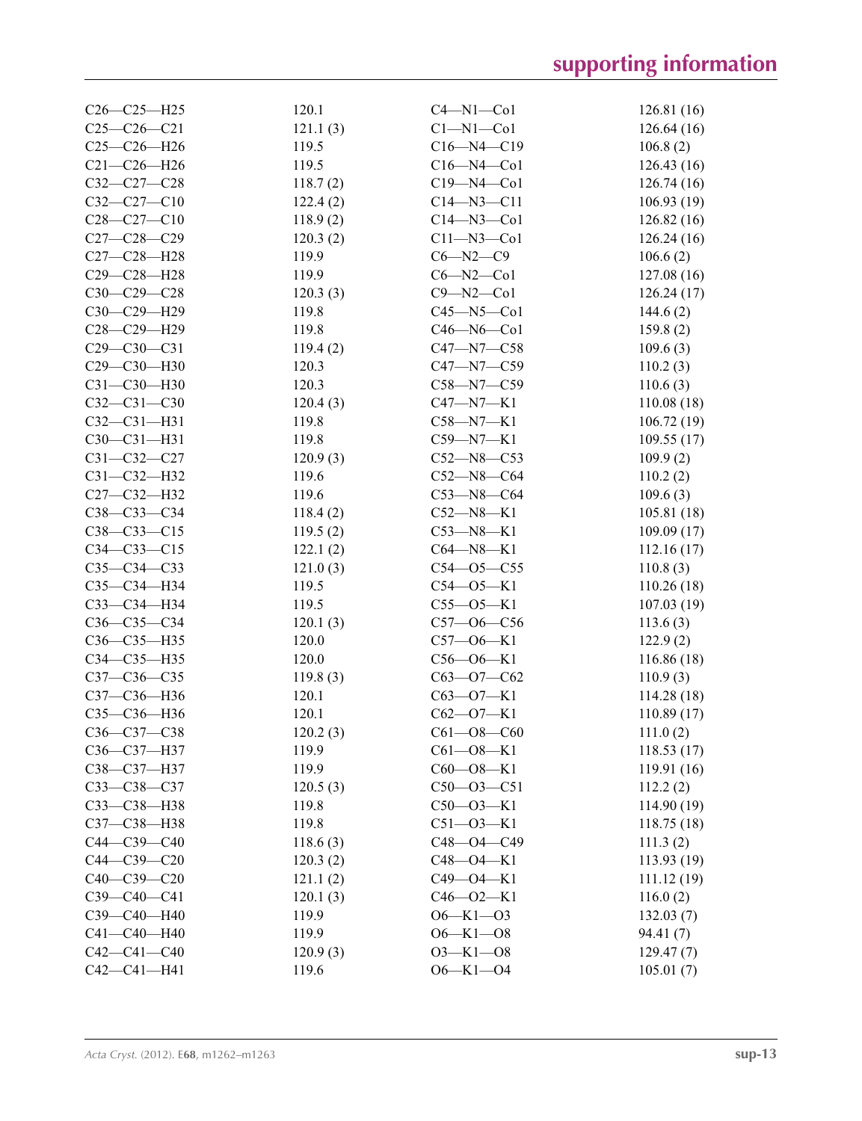| $C26 - C25 - H25$ | 120.1    | $C4 - N1 - Co1$  | 126.81 (16) |
|-------------------|----------|------------------|-------------|
| $C25-C26-C21$     | 121.1(3) | $Cl-M1-C01$      | 126.64(16)  |
| $C25-C26 - H26$   | 119.5    | $C16 - N4 - C19$ | 106.8(2)    |
| $C21 - C26 - H26$ | 119.5    | $C16 - N4 - Co1$ | 126.43(16)  |
| $C32 - C27 - C28$ | 118.7(2) | $C19 - N4 - Co1$ | 126.74(16)  |
| $C32 - C27 - C10$ | 122.4(2) | $C14 - N3 - C11$ | 106.93(19)  |
| $C28 - C27 - C10$ | 118.9(2) | $C14 - N3 - C01$ | 126.82(16)  |
| $C27 - C28 - C29$ | 120.3(2) | $C11 - N3 - C01$ | 126.24(16)  |
| C27-C28-H28       | 119.9    | $C6 - N2 - C9$   | 106.6(2)    |
| C29-C28-H28       | 119.9    | $C6 - N2 - C01$  | 127.08 (16) |
| $C30-C29-C28$     | 120.3(3) | $C9 - N2 - C01$  | 126.24(17)  |
| C30-C29-H29       | 119.8    | $C45 - N5 - C01$ | 144.6(2)    |
| $C28 - C29 - H29$ | 119.8    | $C46 - N6 - C01$ | 159.8(2)    |
| $C29 - C30 - C31$ | 119.4(2) | C47-N7-C58       | 109.6(3)    |
| C29-C30-H30       | 120.3    | $C47 - N7 - C59$ | 110.2(3)    |
| C31-C30-H30       | 120.3    | $C58 - N7 - C59$ | 110.6(3)    |
| $C32-C31-C30$     | 120.4(3) | C47—N7—K1        | 110.08(18)  |
| $C32 - C31 - H31$ | 119.8    | C58-N7-K1        | 106.72(19)  |
| $C30 - C31 - H31$ | 119.8    | $C59 - N7 - K1$  | 109.55(17)  |
| $C31 - C32 - C27$ | 120.9(3) | $C52 - N8 - C53$ | 109.9(2)    |
| C31-C32-H32       | 119.6    | $C52 - N8 - C64$ | 110.2(2)    |
| C27-C32-H32       | 119.6    | $C53 - N8 - C64$ | 109.6(3)    |
| C38-C33-C34       | 118.4(2) | $C52 - N8 - K1$  | 105.81(18)  |
| $C38 - C33 - C15$ | 119.5(2) | $C53 - N8 - K1$  |             |
|                   |          |                  | 109.09 (17) |
| $C34 - C33 - C15$ | 122.1(2) | $C64 - N8 - K1$  | 112.16(17)  |
| $C35 - C34 - C33$ | 121.0(3) | $C54 - 05 - C55$ | 110.8(3)    |
| C35-C34-H34       | 119.5    | $C54 - O5 - K1$  | 110.26(18)  |
| C33-C34-H34       | 119.5    | $C55 - 05 - K1$  | 107.03(19)  |
| $C36 - C35 - C34$ | 120.1(3) | $C57 - 06 - C56$ | 113.6(3)    |
| C36-C35-H35       | 120.0    | $C57 - 06 - K1$  | 122.9(2)    |
| C34-C35-H35       | 120.0    | $C56 - O6 - K1$  | 116.86 (18) |
| C37-C36-C35       | 119.8(3) | $C63 - O7 - C62$ | 110.9(3)    |
| C37-C36-H36       | 120.1    | $C63 - O7 - K1$  | 114.28(18)  |
| C35-C36-H36       | 120.1    | $C62 - O7 - K1$  | 110.89 (17) |
| C36-C37-C38       | 120.2(3) | $C61 - 08 - C60$ | 111.0(2)    |
| $C36 - C37 - H37$ | 119.9    | $C61 - O8 - K1$  | 118.53(17)  |
| C38-C37-H37       | 119.9    | $C60 - 08 - K1$  | 119.91 (16) |
| $C33 - C38 - C37$ | 120.5(3) | $C50 - 03 - C51$ | 112.2(2)    |
| C33-C38-H38       | 119.8    | $C50 - O3 - K1$  | 114.90 (19) |
| C37-C38-H38       | 119.8    | $C51 - O3 - K1$  | 118.75(18)  |
| $C44 - C39 - C40$ | 118.6(3) | C48-O4-C49       | 111.3(2)    |
| $C44 - C39 - C20$ | 120.3(2) | $C48 - 04 - K1$  | 113.93(19)  |
| $C40-C39-C20$     | 121.1(2) | $C49 - 04 - K1$  | 111.12(19)  |
| C39-C40-C41       | 120.1(3) | $C46 - 02 - K1$  | 116.0(2)    |
| C39-C40-H40       | 119.9    | $O6 - K1 - O3$   | 132.03(7)   |
| C41-C40-H40       | 119.9    | $O6 - K1 - O8$   | 94.41 (7)   |
| $C42 - C41 - C40$ | 120.9(3) | $O3 - K1 - O8$   | 129.47(7)   |
| $C42 - C41 - H41$ | 119.6    | $O6 - K1 - O4$   | 105.01(7)   |